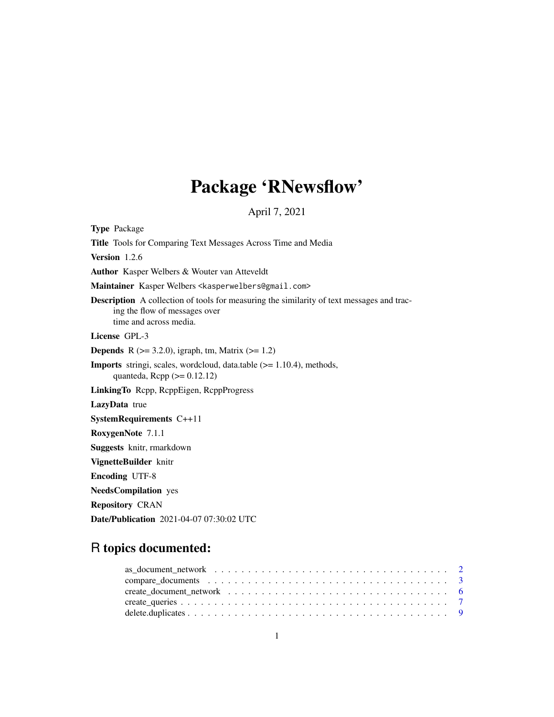# Package 'RNewsflow'

April 7, 2021

<span id="page-0-0"></span>Type Package Title Tools for Comparing Text Messages Across Time and Media Version 1.2.6 Author Kasper Welbers & Wouter van Atteveldt Maintainer Kasper Welbers <kasperwelbers@gmail.com> Description A collection of tools for measuring the similarity of text messages and tracing the flow of messages over time and across media. License GPL-3 **Depends** R ( $>= 3.2.0$ ), igraph, tm, Matrix ( $>= 1.2$ ) Imports stringi, scales, wordcloud, data.table (>= 1.10.4), methods, quanteda,  $\text{Rcpp} (> = 0.12.12)$ LinkingTo Rcpp, RcppEigen, RcppProgress LazyData true SystemRequirements C++11 RoxygenNote 7.1.1 Suggests knitr, rmarkdown VignetteBuilder knitr Encoding UTF-8 NeedsCompilation yes Repository CRAN Date/Publication 2021-04-07 07:30:02 UTC

# R topics documented: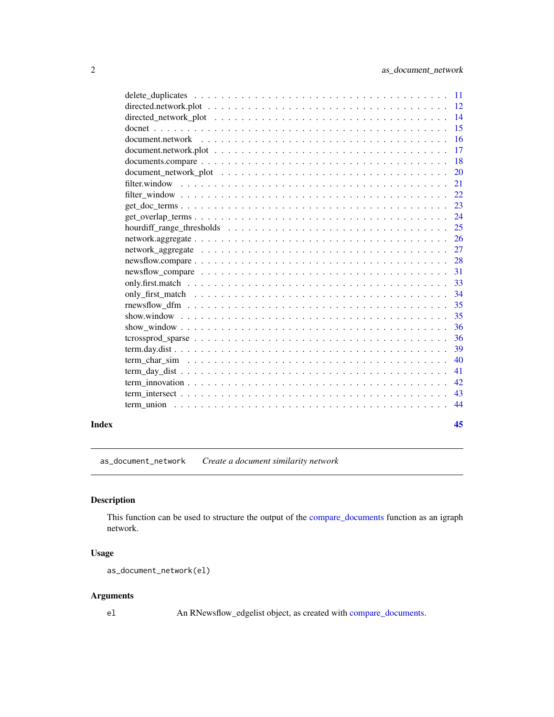<span id="page-1-0"></span>

|       | -15           |
|-------|---------------|
|       | 16            |
|       | 17            |
|       | <sup>18</sup> |
|       | 20            |
|       | 21            |
|       | 22            |
|       | 23            |
|       | 24            |
|       | 25            |
|       | 26            |
|       | 27            |
|       | 28            |
|       | 31            |
|       | 33            |
|       | 34            |
|       | 35            |
|       | 35            |
|       | 36            |
|       | 36            |
|       | 39            |
|       | 40            |
|       | 41            |
|       | 42            |
|       | 43            |
|       | 44            |
| Index | 45            |

<span id="page-1-1"></span>as\_document\_network *Create a document similarity network*

# Description

This function can be used to structure the output of the [compare\\_documents](#page-2-1) function as an igraph network.

# Usage

```
as_document_network(el)
```
# Arguments

el An RNewsflow\_edgelist object, as created with [compare\\_documents.](#page-2-1)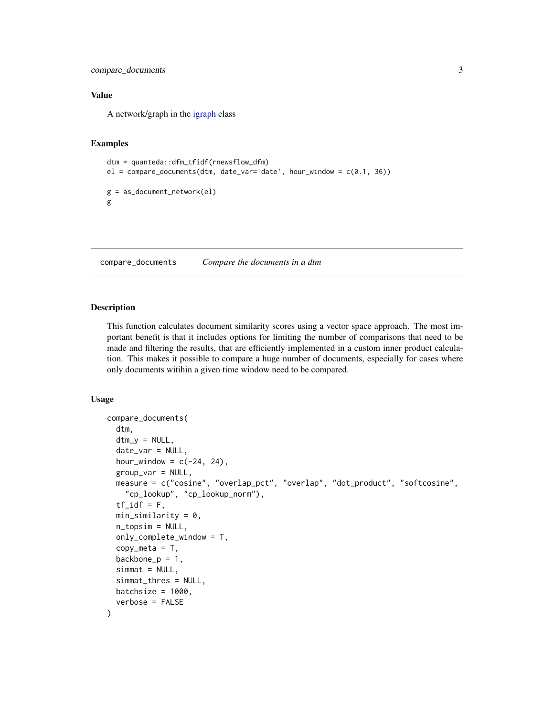```
compare_documents 3
```
# Value

A network/graph in the [igraph](#page-0-0) class

# Examples

```
dtm = quanteda::dfm_tfidf(rnewsflow_dfm)
el = compare\_documents(dtm, date\_var='date', hour\_window = c(0.1, 36))g = as_document_network(el)
g
```
<span id="page-2-1"></span>compare\_documents *Compare the documents in a dtm*

#### Description

This function calculates document similarity scores using a vector space approach. The most important benefit is that it includes options for limiting the number of comparisons that need to be made and filtering the results, that are efficiently implemented in a custom inner product calculation. This makes it possible to compare a huge number of documents, especially for cases where only documents witihin a given time window need to be compared.

```
compare_documents(
  dtm,
  dtm_y = NULL,date_var = NULL,
  hour_window = c(-24, 24),
  group_var = NULL,
 measure = c("cosine", "overlap_pct", "overlap", "dot_product", "softcosine",
    "cp_lookup", "cp_lookup_norm"),
  tf_idf = F,
 min_similarity = 0,
 n_topsim = NULL,
  only_complete_window = T,
  copy_meta = T,
  backbone_p = 1,
  simat = NULL,simmat_thres = NULL,
 batchsize = 1000,
  verbose = FALSE
)
```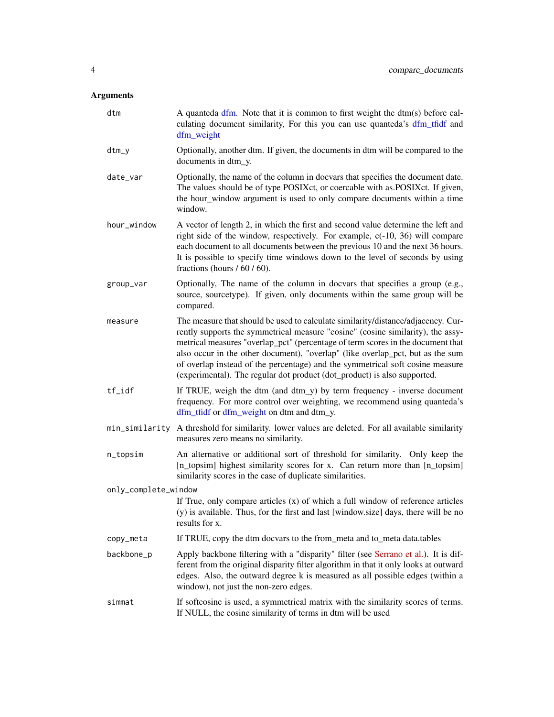<span id="page-3-0"></span>

| dtm                  | A quanteda dfm. Note that it is common to first weight the dtm(s) before cal-<br>culating document similarity, For this you can use quanteda's dfm_tfidf and<br>dfm_weight                                                                                                                                                                                                                                                                                                                            |
|----------------------|-------------------------------------------------------------------------------------------------------------------------------------------------------------------------------------------------------------------------------------------------------------------------------------------------------------------------------------------------------------------------------------------------------------------------------------------------------------------------------------------------------|
| $dtm_y$              | Optionally, another dtm. If given, the documents in dtm will be compared to the<br>documents in dtm_y.                                                                                                                                                                                                                                                                                                                                                                                                |
| date_var             | Optionally, the name of the column in docvars that specifies the document date.<br>The values should be of type POSIXct, or coercable with as POSIXct. If given,<br>the hour_window argument is used to only compare documents within a time<br>window.                                                                                                                                                                                                                                               |
| hour_window          | A vector of length 2, in which the first and second value determine the left and<br>right side of the window, respectively. For example, c(-10, 36) will compare<br>each document to all documents between the previous 10 and the next 36 hours.<br>It is possible to specify time windows down to the level of seconds by using<br>fractions (hours $/ 60 / 60$ ).                                                                                                                                  |
| group_var            | Optionally, The name of the column in docvars that specifies a group (e.g.,<br>source, sourcetype). If given, only documents within the same group will be<br>compared.                                                                                                                                                                                                                                                                                                                               |
| measure              | The measure that should be used to calculate similarity/distance/adjacency. Cur-<br>rently supports the symmetrical measure "cosine" (cosine similarity), the assy-<br>metrical measures "overlap_pct" (percentage of term scores in the document that<br>also occur in the other document), "overlap" (like overlap_pct, but as the sum<br>of overlap instead of the percentage) and the symmetrical soft cosine measure<br>(experimental). The regular dot product (dot_product) is also supported. |
| tf_idf               | If TRUE, weigh the dtm (and dtm_y) by term frequency - inverse document<br>frequency. For more control over weighting, we recommend using quanteda's<br>dfm_tfidf or dfm_weight on dtm and dtm_y.                                                                                                                                                                                                                                                                                                     |
| min_similarity       | A threshold for similarity. lower values are deleted. For all available similarity<br>measures zero means no similarity.                                                                                                                                                                                                                                                                                                                                                                              |
| n_topsim             | An alternative or additional sort of threshold for similarity. Only keep the<br>[n_topsim] highest similarity scores for x. Can return more than [n_topsim]<br>similarity scores in the case of duplicate similarities.                                                                                                                                                                                                                                                                               |
| only_complete_window |                                                                                                                                                                                                                                                                                                                                                                                                                                                                                                       |
|                      | If True, only compare articles $(x)$ of which a full window of reference articles<br>(y) is available. Thus, for the first and last [window.size] days, there will be no<br>results for x.                                                                                                                                                                                                                                                                                                            |
| copy_meta            | If TRUE, copy the dtm docvars to the from_meta and to_meta data.tables                                                                                                                                                                                                                                                                                                                                                                                                                                |
| backbone_p           | Apply backbone filtering with a "disparity" filter (see Serrano et al.). It is dif-<br>ferent from the original disparity filter algorithm in that it only looks at outward<br>edges. Also, the outward degree k is measured as all possible edges (within a<br>window), not just the non-zero edges.                                                                                                                                                                                                 |
| simmat               | If softcosine is used, a symmetrical matrix with the similarity scores of terms.<br>If NULL, the cosine similarity of terms in dtm will be used                                                                                                                                                                                                                                                                                                                                                       |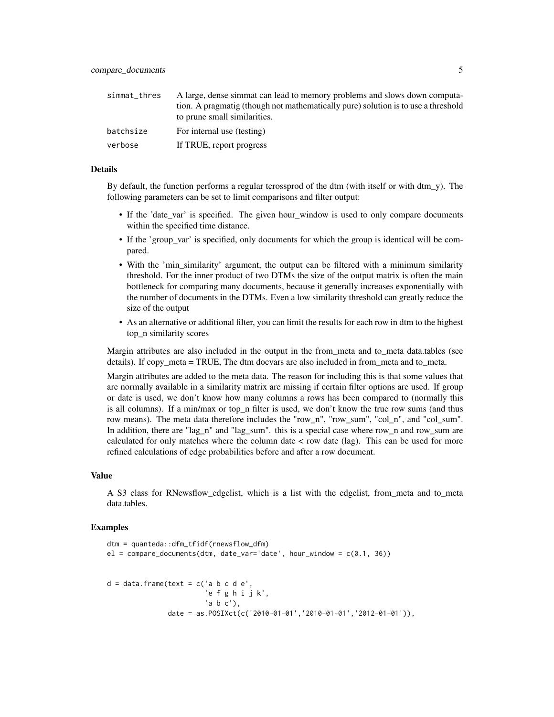| simmat_thres | A large, dense simmat can lead to memory problems and slows down computa-<br>tion. A pragmatig (though not mathematically pure) solution is to use a threshold<br>to prune small similarities. |
|--------------|------------------------------------------------------------------------------------------------------------------------------------------------------------------------------------------------|
| batchsize    | For internal use (testing)                                                                                                                                                                     |
| verbose      | If TRUE, report progress                                                                                                                                                                       |

#### Details

By default, the function performs a regular tcrossprod of the dtm (with itself or with dtm y). The following parameters can be set to limit comparisons and filter output:

- If the 'date\_var' is specified. The given hour\_window is used to only compare documents within the specified time distance.
- If the 'group\_var' is specified, only documents for which the group is identical will be compared.
- With the 'min\_similarity' argument, the output can be filtered with a minimum similarity threshold. For the inner product of two DTMs the size of the output matrix is often the main bottleneck for comparing many documents, because it generally increases exponentially with the number of documents in the DTMs. Even a low similarity threshold can greatly reduce the size of the output
- As an alternative or additional filter, you can limit the results for each row in dtm to the highest top\_n similarity scores

Margin attributes are also included in the output in the from meta and to meta data.tables (see details). If copy\_meta = TRUE, The dtm docvars are also included in from\_meta and to\_meta.

Margin attributes are added to the meta data. The reason for including this is that some values that are normally available in a similarity matrix are missing if certain filter options are used. If group or date is used, we don't know how many columns a rows has been compared to (normally this is all columns). If a min/max or top n filter is used, we don't know the true row sums (and thus row means). The meta data therefore includes the "row n", "row sum", "col n", and "col sum". In addition, there are "lag\_n" and "lag\_sum". this is a special case where row n and row sum are calculated for only matches where the column date  $\lt$  row date (lag). This can be used for more refined calculations of edge probabilities before and after a row document.

#### Value

A S3 class for RNewsflow\_edgelist, which is a list with the edgelist, from\_meta and to\_meta data.tables.

## Examples

```
dtm = quanteda::dfm_tfidf(rnewsflow_dfm)
el = compare_documents(dtm, date_var='date', hour_window = c(0.1, 36))
d = data-frame(text = c('a b c d e','e f g h i j k',
                       'a b c'),
               date = as.POSIXct(c('2010-01-01','2010-01-01','2012-01-01')),
```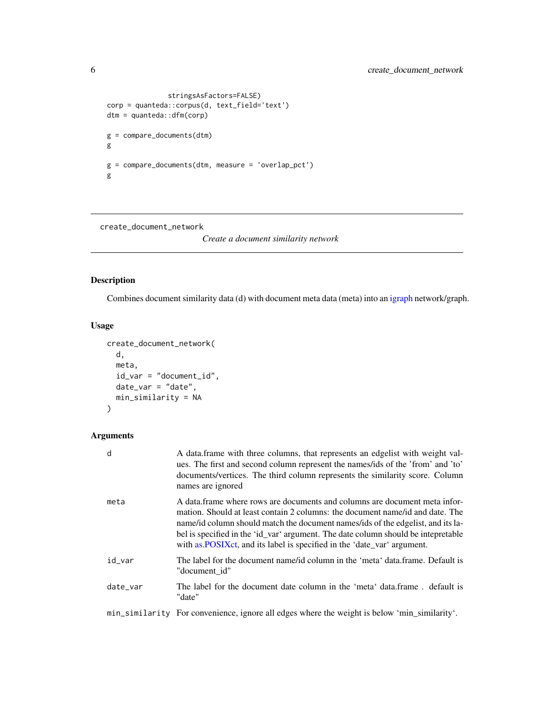```
stringsAsFactors=FALSE)
corp = quanteda::corpus(d, text_field='text')
dtm = quanteda::dfm(corp)
g = compare_documents(dtm)
g
g = compare_documents(dtm, measure = 'overlap_pct')
g
```
create\_document\_network

*Create a document similarity network*

# Description

Combines document similarity data (d) with document meta data (meta) into an [igraph](#page-0-0) network/graph.

# Usage

```
create_document_network(
 d,
 meta,
 id_var = "document_id",
 date_var = "date",
 min_similarity = NA
)
```

| d        | A data frame with three columns, that represents an edgelist with weight val-<br>ues. The first and second column represent the names/ids of the 'from' and 'to'<br>documents/vertices. The third column represents the similarity score. Column<br>names are ignored                                                                                                                                           |
|----------|-----------------------------------------------------------------------------------------------------------------------------------------------------------------------------------------------------------------------------------------------------------------------------------------------------------------------------------------------------------------------------------------------------------------|
| meta     | A data frame where rows are documents and columns are document meta infor-<br>mation. Should at least contain 2 columns: the document name/id and date. The<br>name/id column should match the document names/ids of the edgelist, and its la-<br>bel is specified in the 'id_var' argument. The date column should be intepretable<br>with as POSIX ct, and its label is specified in the 'date_var' argument. |
| id var   | The label for the document name/id column in the 'meta' data.frame. Default is<br>"document id"                                                                                                                                                                                                                                                                                                                 |
| date var | The label for the document date column in the 'meta' data.frame, default is<br>"date"                                                                                                                                                                                                                                                                                                                           |
|          | min_similarity For convenience, ignore all edges where the weight is below 'min_similarity'.                                                                                                                                                                                                                                                                                                                    |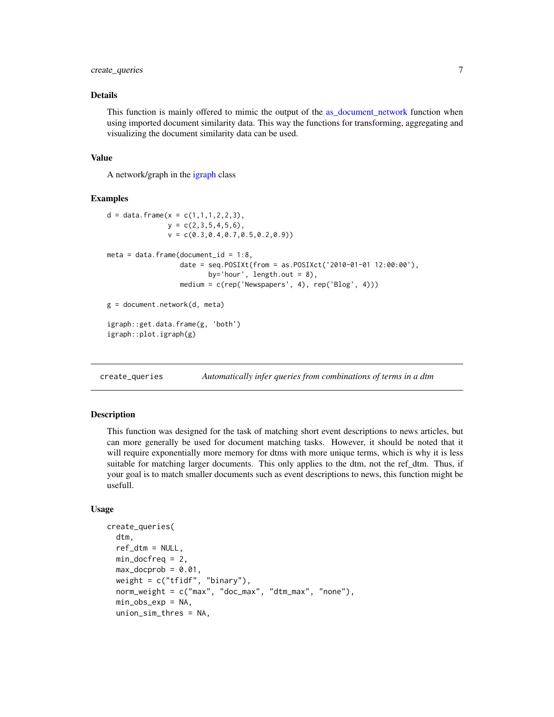# <span id="page-6-0"></span>create\_queries 7

#### Details

This function is mainly offered to mimic the output of the as document network function when using imported document similarity data. This way the functions for transforming, aggregating and visualizing the document similarity data can be used.

#### Value

A network/graph in the [igraph](#page-0-0) class

# Examples

```
d = data. frame(x = c(1,1,1,2,2,3),
               y = c(2,3,5,4,5,6),
               v = c(0.3, 0.4, 0.7, 0.5, 0.2, 0.9))meta = data.frame(document_id = 1:8,
                  date = seq.POSIXt(from = as.POSIXct('2010-01-01 12:00:00'),
                         by='hour', length.out = 8),
                  medium = c(rep('Newspapers', 4), rep('Blog', 4)))
g = document.network(d, meta)
igraph::get.data.frame(g, 'both')
igraph::plot.igraph(g)
```
create\_queries *Automatically infer queries from combinations of terms in a dtm*

#### Description

This function was designed for the task of matching short event descriptions to news articles, but can more generally be used for document matching tasks. However, it should be noted that it will require exponentially more memory for dtms with more unique terms, which is why it is less suitable for matching larger documents. This only applies to the dtm, not the ref\_dtm. Thus, if your goal is to match smaller documents such as event descriptions to news, this function might be usefull.

```
create_queries(
  dtm,
  ref_dtm = NULL,
  min\_docfreq = 2,
  max_docprob = 0.01,
  weight = c("tfidf", "binary"),
  norm_weight = c("max", "doc_max", "dtm_max", "none"),
  min_obs_exp = NA,
  union_sim_thres = NA,
```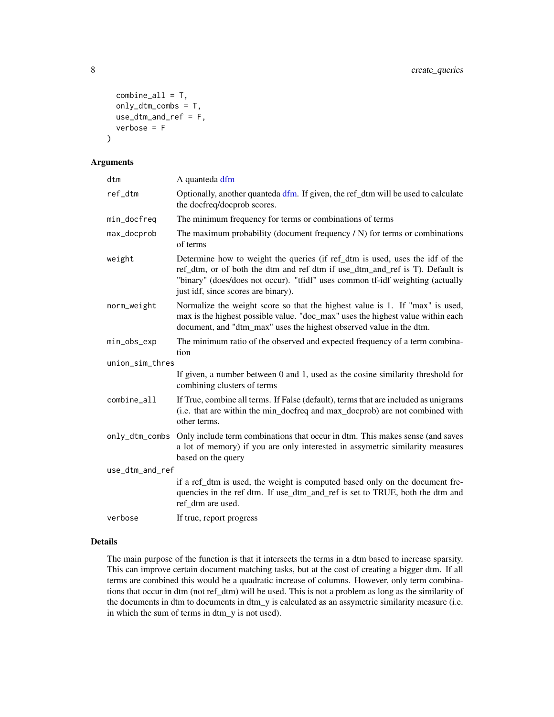```
combine\_all = T,
 only_dtm_combs = T,
 use_dtm_and_ref = F,
  verbose = F
)
```

| dtm             | A quanteda dfm                                                                                                                                                                                                                                                                        |
|-----------------|---------------------------------------------------------------------------------------------------------------------------------------------------------------------------------------------------------------------------------------------------------------------------------------|
| ref_dtm         | Optionally, another quanteda dfm. If given, the ref_dtm will be used to calculate<br>the docfreq/docprob scores.                                                                                                                                                                      |
| min_docfreq     | The minimum frequency for terms or combinations of terms                                                                                                                                                                                                                              |
| max_docprob     | The maximum probability (document frequency $/N$ ) for terms or combinations<br>of terms                                                                                                                                                                                              |
| weight          | Determine how to weight the queries (if ref_dtm is used, uses the idf of the<br>ref_dtm, or of both the dtm and ref dtm if use_dtm_and_ref is T). Default is<br>"binary" (does/does not occur). "tfidf" uses common tf-idf weighting (actually<br>just idf, since scores are binary). |
| norm_weight     | Normalize the weight score so that the highest value is 1. If "max" is used,<br>max is the highest possible value. "doc_max" uses the highest value within each<br>document, and "dtm_max" uses the highest observed value in the dtm.                                                |
| min_obs_exp     | The minimum ratio of the observed and expected frequency of a term combina-<br>tion                                                                                                                                                                                                   |
| union_sim_thres |                                                                                                                                                                                                                                                                                       |
|                 | If given, a number between 0 and 1, used as the cosine similarity threshold for<br>combining clusters of terms                                                                                                                                                                        |
| $combine\_all$  | If True, combine all terms. If False (default), terms that are included as unigrams<br>(i.e. that are within the min_docfreq and max_docprob) are not combined with<br>other terms.                                                                                                   |
|                 | only_dtm_combs Only include term combinations that occur in dtm. This makes sense (and saves<br>a lot of memory) if you are only interested in assymetric similarity measures<br>based on the query                                                                                   |
| use_dtm_and_ref |                                                                                                                                                                                                                                                                                       |
|                 | if a ref_dtm is used, the weight is computed based only on the document fre-<br>quencies in the ref dtm. If use_dtm_and_ref is set to TRUE, both the dtm and<br>ref dtm are used.                                                                                                     |
| verbose         | If true, report progress                                                                                                                                                                                                                                                              |

# Details

The main purpose of the function is that it intersects the terms in a dtm based to increase sparsity. This can improve certain document matching tasks, but at the cost of creating a bigger dtm. If all terms are combined this would be a quadratic increase of columns. However, only term combinations that occur in dtm (not ref\_dtm) will be used. This is not a problem as long as the similarity of the documents in dtm to documents in dtm\_y is calculated as an assymetric similarity measure (i.e. in which the sum of terms in dtm\_y is not used).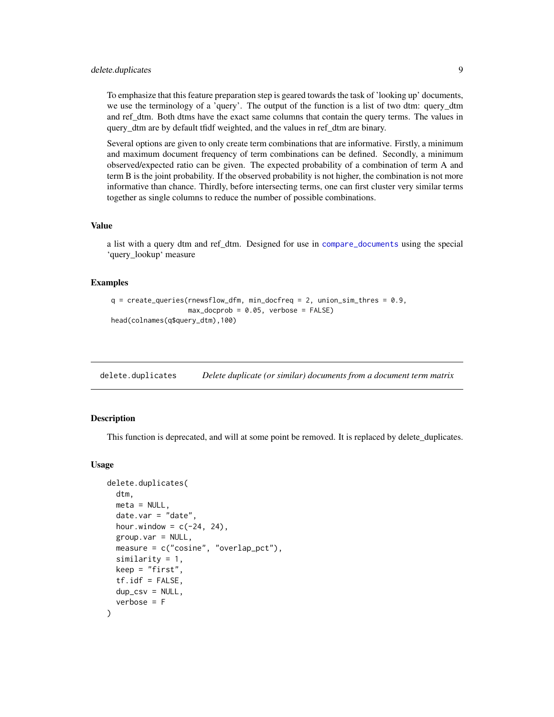# <span id="page-8-0"></span>delete.duplicates 9

To emphasize that this feature preparation step is geared towards the task of 'looking up' documents, we use the terminology of a 'query'. The output of the function is a list of two dtm: query\_dtm and ref\_dtm. Both dtms have the exact same columns that contain the query terms. The values in query\_dtm are by default tfidf weighted, and the values in ref\_dtm are binary.

Several options are given to only create term combinations that are informative. Firstly, a minimum and maximum document frequency of term combinations can be defined. Secondly, a minimum observed/expected ratio can be given. The expected probability of a combination of term A and term B is the joint probability. If the observed probability is not higher, the combination is not more informative than chance. Thirdly, before intersecting terms, one can first cluster very similar terms together as single columns to reduce the number of possible combinations.

#### Value

a list with a query dtm and ref\_dtm. Designed for use in [compare\\_documents](#page-2-1) using the special 'query\_lookup' measure

# Examples

```
q = \text{create\_queries}(\text{rewsflow\_dfm}, \text{min\_docfreq} = 2, \text{union\_sim\_thres} = 0.9,max_docprob = 0.05, verbose = FALSE)
head(colnames(q$query_dtm),100)
```
delete.duplicates *Delete duplicate (or similar) documents from a document term matrix*

# Description

This function is deprecated, and will at some point be removed. It is replaced by delete\_duplicates.

```
delete.duplicates(
  dtm,
 meta = NULL,date.var = "date",
  hour.window = c(-24, 24),
  group.var = NULL,
 measure = c("cosine", "overlap_pct"),
  similarity = 1,
  keep = "first",
  tf.idf = FALSE,dup_csv = NULL,verbose = F
)
```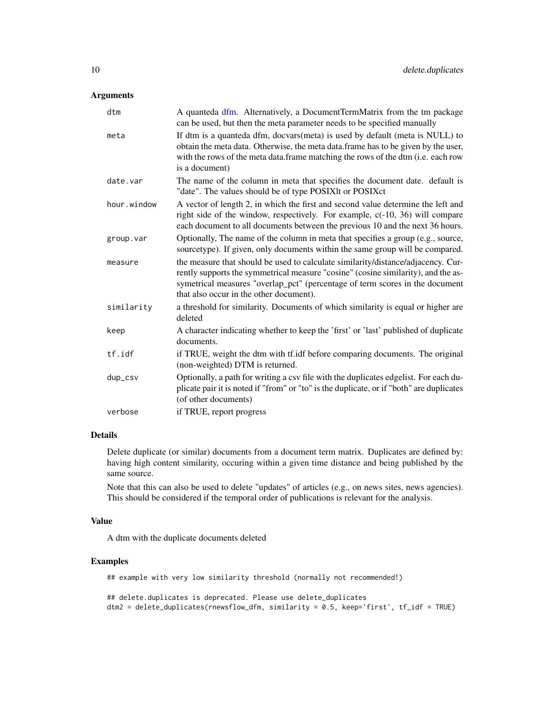<span id="page-9-0"></span>

| dtm         | A quanteda dfm. Alternatively, a DocumentTermMatrix from the tm package<br>can be used, but then the meta parameter needs to be specified manually                                                                                                                                               |
|-------------|--------------------------------------------------------------------------------------------------------------------------------------------------------------------------------------------------------------------------------------------------------------------------------------------------|
| meta        | If dtm is a quanteda dfm, docvars(meta) is used by default (meta is NULL) to<br>obtain the meta data. Otherwise, the meta data.frame has to be given by the user,<br>with the rows of the meta data.frame matching the rows of the dtm (i.e. each row<br>is a document)                          |
| date.var    | The name of the column in meta that specifies the document date. default is<br>"date". The values should be of type POSIXIt or POSIXct                                                                                                                                                           |
| hour.window | A vector of length 2, in which the first and second value determine the left and<br>right side of the window, respectively. For example, c(-10, 36) will compare<br>each document to all documents between the previous 10 and the next 36 hours.                                                |
| group.var   | Optionally, The name of the column in meta that specifies a group (e.g., source,<br>sourcetype). If given, only documents within the same group will be compared.                                                                                                                                |
| measure     | the measure that should be used to calculate similarity/distance/adjacency. Cur-<br>rently supports the symmetrical measure "cosine" (cosine similarity), and the as-<br>symetrical measures "overlap_pct" (percentage of term scores in the document<br>that also occur in the other document). |
| similarity  | a threshold for similarity. Documents of which similarity is equal or higher are<br>deleted                                                                                                                                                                                                      |
| keep        | A character indicating whether to keep the 'first' or 'last' published of duplicate<br>documents.                                                                                                                                                                                                |
| tf.idf      | if TRUE, weight the dtm with tf.idf before comparing documents. The original<br>(non-weighted) DTM is returned.                                                                                                                                                                                  |
| dup_csv     | Optionally, a path for writing a csv file with the duplicates edgelist. For each du-<br>plicate pair it is noted if "from" or "to" is the duplicate, or if "both" are duplicates<br>(of other documents)                                                                                         |
| verbose     | if TRUE, report progress                                                                                                                                                                                                                                                                         |

#### Details

Delete duplicate (or similar) documents from a document term matrix. Duplicates are defined by: having high content similarity, occuring within a given time distance and being published by the same source.

Note that this can also be used to delete "updates" of articles (e.g., on news sites, news agencies). This should be considered if the temporal order of publications is relevant for the analysis.

#### Value

A dtm with the duplicate documents deleted

#### Examples

## example with very low similarity threshold (normally not recommended!)

```
## delete.duplicates is deprecated. Please use delete_duplicates
dtm2 = delete_duplicates(rnewsflow_dfm, similarity = 0.5, keep='first', tf_idf = TRUE)
```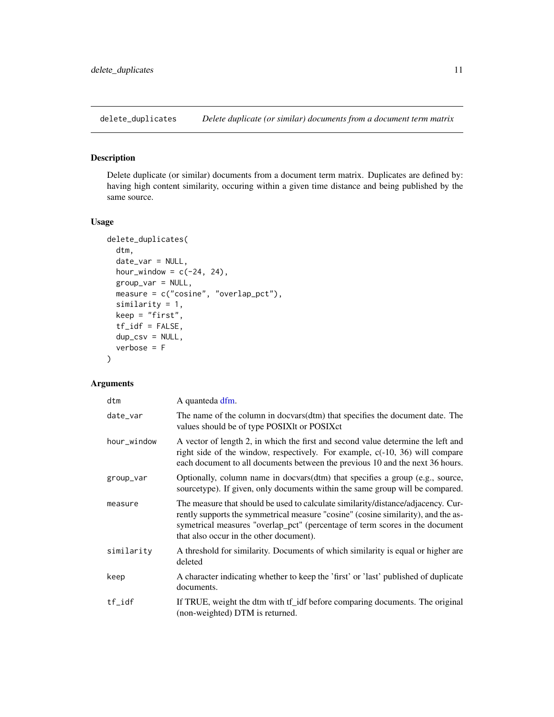<span id="page-10-0"></span>delete\_duplicates *Delete duplicate (or similar) documents from a document term matrix*

# Description

Delete duplicate (or similar) documents from a document term matrix. Duplicates are defined by: having high content similarity, occuring within a given time distance and being published by the same source.

#### Usage

```
delete_duplicates(
  dtm,
  date_var = NULL,
  hour_window = c(-24, 24),
  group_var = NULL,
  measure = c("cosine", "overlap_pct"),
  similarity = 1,
 keep = "first",tf_idf = FALSE,dup_csv = NULL,verbose = F
\mathcal{E}
```

| dtm         | A quanteda dfm.                                                                                                                                                                                                                                                                                  |
|-------------|--------------------------------------------------------------------------------------------------------------------------------------------------------------------------------------------------------------------------------------------------------------------------------------------------|
| date_var    | The name of the column in docvars(dtm) that specifies the document date. The<br>values should be of type POSIXIt or POSIXct                                                                                                                                                                      |
| hour_window | A vector of length 2, in which the first and second value determine the left and<br>right side of the window, respectively. For example, $c(-10, 36)$ will compare<br>each document to all documents between the previous 10 and the next 36 hours.                                              |
| group_var   | Optionally, column name in docvars(dtm) that specifies a group (e.g., source,<br>sourcetype). If given, only documents within the same group will be compared.                                                                                                                                   |
| measure     | The measure that should be used to calculate similarity/distance/adjacency. Cur-<br>rently supports the symmetrical measure "cosine" (cosine similarity), and the as-<br>symetrical measures "overlap_pct" (percentage of term scores in the document<br>that also occur in the other document). |
| similarity  | A threshold for similarity. Documents of which similarity is equal or higher are<br>deleted                                                                                                                                                                                                      |
| keep        | A character indicating whether to keep the 'first' or 'last' published of duplicate<br>documents.                                                                                                                                                                                                |
| $tf_idf$    | If TRUE, weight the dtm with tf_idf before comparing documents. The original<br>(non-weighted) DTM is returned.                                                                                                                                                                                  |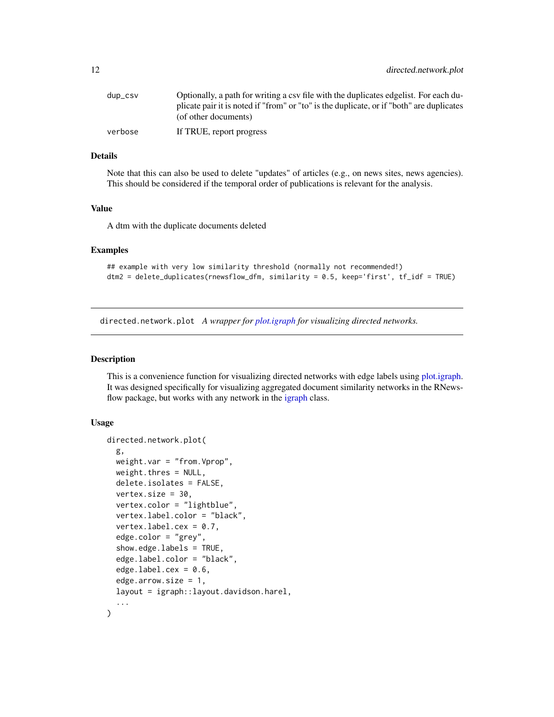<span id="page-11-0"></span>

| dup_csv | Optionally, a path for writing a csy file with the duplicates edgelist. For each du-     |
|---------|------------------------------------------------------------------------------------------|
|         | plicate pair it is noted if "from" or "to" is the duplicate, or if "both" are duplicates |
|         | (of other documents)                                                                     |
| verbose | If TRUE, report progress                                                                 |

# Details

Note that this can also be used to delete "updates" of articles (e.g., on news sites, news agencies). This should be considered if the temporal order of publications is relevant for the analysis.

# Value

A dtm with the duplicate documents deleted

#### Examples

```
## example with very low similarity threshold (normally not recommended!)
dtm2 = delete_duplicates(rnewsflow_dfm, similarity = 0.5, keep='first', tf_idf = TRUE)
```
directed.network.plot *A wrapper for [plot.igraph](#page-0-0) for visualizing directed networks.*

#### Description

This is a convenience function for visualizing directed networks with edge labels using [plot.igraph.](#page-0-0) It was designed specifically for visualizing aggregated document similarity networks in the RNewsflow package, but works with any network in the [igraph](#page-0-0) class.

```
directed.network.plot(
  g,
 weight.var = "from.Vprop",
 weight.thres = NULL,
 delete.isolates = FALSE,
  vertex.size = 30,
  vertex.color = "lightblue",
  vertex.label.color = "black",
  vertex.label.cex = 0.7,
  edge.color = "grey",
  show.edge.labels = TRUE,
  edge.label.color = "black",
  edgeu = 0.6,
  edge.arrow.size = 1,
  layout = igraph::layout.davidson.harel,
  ...
)
```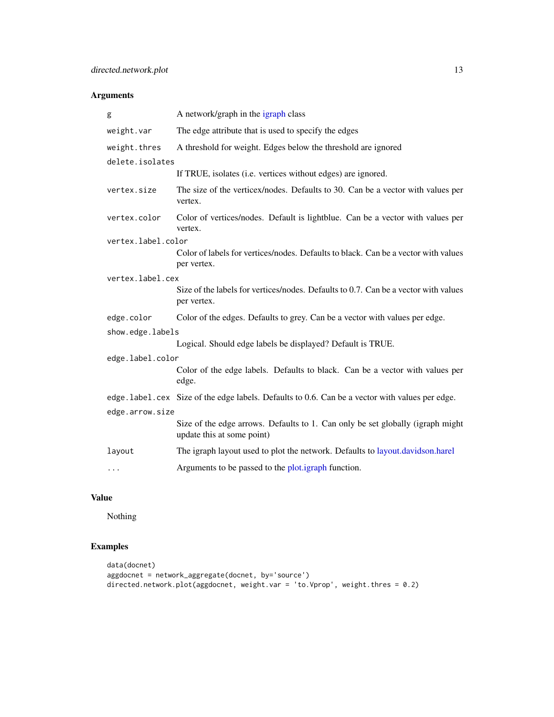<span id="page-12-0"></span>

| g                  | A network/graph in the igraph class                                                                          |
|--------------------|--------------------------------------------------------------------------------------------------------------|
| weight.var         | The edge attribute that is used to specify the edges                                                         |
| weight.thres       | A threshold for weight. Edges below the threshold are ignored                                                |
| delete.isolates    |                                                                                                              |
|                    | If TRUE, isolates (i.e. vertices without edges) are ignored.                                                 |
| vertex.size        | The size of the verticex/nodes. Defaults to 30. Can be a vector with values per<br>vertex.                   |
| vertex.color       | Color of vertices/nodes. Default is lightblue. Can be a vector with values per<br>vertex.                    |
| vertex.label.color |                                                                                                              |
|                    | Color of labels for vertices/nodes. Defaults to black. Can be a vector with values<br>per vertex.            |
| vertex.label.cex   |                                                                                                              |
|                    | Size of the labels for vertices/nodes. Defaults to 0.7. Can be a vector with values<br>per vertex.           |
| edge.color         | Color of the edges. Defaults to grey. Can be a vector with values per edge.                                  |
| show.edge.labels   |                                                                                                              |
|                    | Logical. Should edge labels be displayed? Default is TRUE.                                                   |
| edge.label.color   |                                                                                                              |
|                    | Color of the edge labels. Defaults to black. Can be a vector with values per<br>edge.                        |
|                    | edge. label.cex Size of the edge labels. Defaults to 0.6. Can be a vector with values per edge.              |
| edge.arrow.size    |                                                                                                              |
|                    | Size of the edge arrows. Defaults to 1. Can only be set globally (igraph might<br>update this at some point) |
| layout             | The igraph layout used to plot the network. Defaults to layout.davidson.harel                                |
| $\ddots$           | Arguments to be passed to the plot.igraph function.                                                          |

# Value

Nothing

# Examples

```
data(docnet)
aggdocnet = network_aggregate(docnet, by='source')
directed.network.plot(aggdocnet, weight.var = 'to.Vprop', weight.thres = 0.2)
```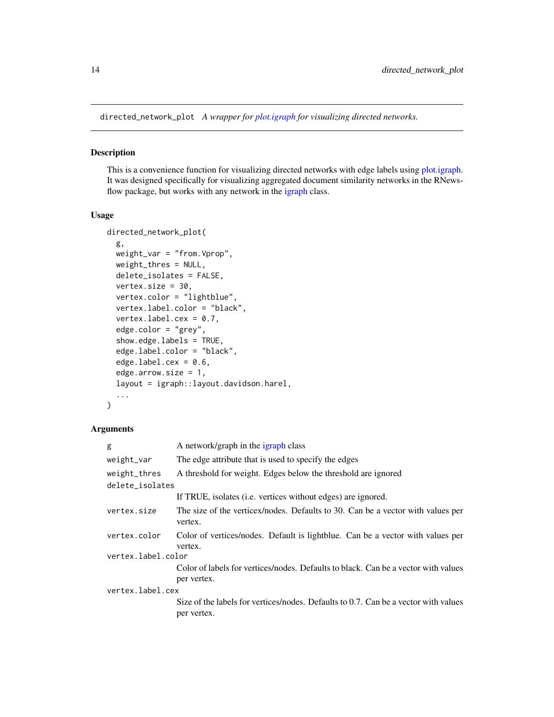<span id="page-13-0"></span>directed\_network\_plot *A wrapper for [plot.igraph](#page-0-0) for visualizing directed networks.*

#### Description

This is a convenience function for visualizing directed networks with edge labels using [plot.igraph.](#page-0-0) It was designed specifically for visualizing aggregated document similarity networks in the RNewsflow package, but works with any network in the [igraph](#page-0-0) class.

#### Usage

```
directed_network_plot(
  g,
 weight_var = "from.Vprop",
 weight_thres = NULL,
 delete_isolates = FALSE,
  vertex.size = 30,
  vertex.color = "lightblue",
  vertex.label.color = "black",
  vertex.label.cex = 0.7,
  edge.color = "grey",
  show.edge.labels = TRUE,
  edge.label.color = "black",
  edgeu = 0.6,
  edge.arrow.size = 1,
  layout = igraph::layout.davidson.harel,
  ...
\mathcal{E}
```

| A network/graph in the igraph class                                                                |
|----------------------------------------------------------------------------------------------------|
| The edge attribute that is used to specify the edges                                               |
| A threshold for weight. Edges below the threshold are ignored                                      |
| delete_isolates                                                                                    |
| If TRUE, isolates (i.e. vertices without edges) are ignored.                                       |
| The size of the verticex/nodes. Defaults to 30. Can be a vector with values per<br>vertex.         |
| Color of vertices/nodes. Default is lightblue. Can be a vector with values per<br>vertex.          |
| vertex.label.color                                                                                 |
| Color of labels for vertices/nodes. Defaults to black. Can be a vector with values                 |
| per vertex.                                                                                        |
| vertex.label.cex                                                                                   |
| Size of the labels for vertices/nodes. Defaults to 0.7. Can be a vector with values<br>per vertex. |
|                                                                                                    |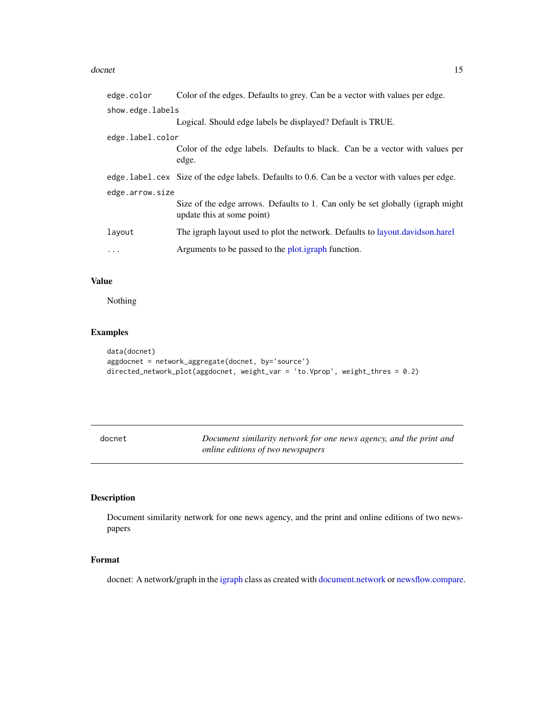#### <span id="page-14-0"></span>docnet and the set of the set of the set of the set of the set of the set of the set of the set of the set of the set of the set of the set of the set of the set of the set of the set of the set of the set of the set of th

| edge.color       | Color of the edges. Defaults to grey. Can be a vector with values per edge.                                   |
|------------------|---------------------------------------------------------------------------------------------------------------|
| show.edge.labels |                                                                                                               |
|                  | Logical. Should edge labels be displayed? Default is TRUE.                                                    |
| edge.label.color |                                                                                                               |
|                  | Color of the edge labels. Defaults to black. Can be a vector with values per<br>edge.                         |
|                  | edge. label.cex Size of the edge labels. Defaults to 0.6. Can be a vector with values per edge.               |
| edge.arrow.size  |                                                                                                               |
|                  | Size of the edge arrows. Defaults to 1. Can only be set globally (igraph might)<br>update this at some point) |
| layout           | The igraph layout used to plot the network. Defaults to layout.davidson.harel                                 |
| $\cdots$         | Arguments to be passed to the plot.igraph function.                                                           |

# Value

Nothing

# Examples

```
data(docnet)
aggdocnet = network_aggregate(docnet, by='source')
directed_network_plot(aggdocnet, weight_var = 'to.Vprop', weight_thres = 0.2)
```

| docnet | Document similarity network for one news agency, and the print and |
|--------|--------------------------------------------------------------------|
|        | online editions of two newspapers                                  |

# Description

Document similarity network for one news agency, and the print and online editions of two newspapers

# Format

docnet: A network/graph in the [igraph](#page-0-0) class as created with [document.network](#page-15-1) or [newsflow.compare.](#page-27-1)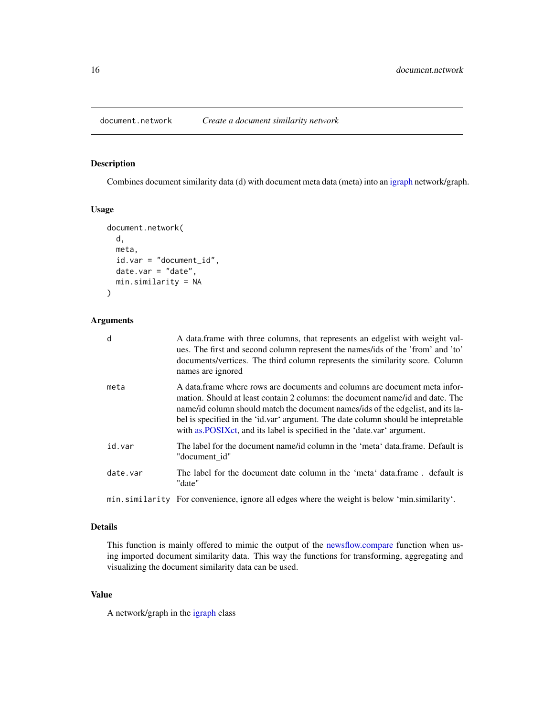<span id="page-15-1"></span><span id="page-15-0"></span>

# Description

Combines document similarity data (d) with document meta data (meta) into an [igraph](#page-0-0) network/graph.

# Usage

```
document.network(
  d,
 meta,
  id.var = "document_id",
 date.var = "date",min.similarity = NA
)
```
# Arguments

| d        | A data frame with three columns, that represents an edgelist with weight val-<br>ues. The first and second column represent the names/ids of the 'from' and 'to'<br>documents/vertices. The third column represents the similarity score. Column<br>names are ignored                                                                                                                                          |
|----------|----------------------------------------------------------------------------------------------------------------------------------------------------------------------------------------------------------------------------------------------------------------------------------------------------------------------------------------------------------------------------------------------------------------|
| meta     | A data frame where rows are documents and columns are document meta infor-<br>mation. Should at least contain 2 columns: the document name/id and date. The<br>name/id column should match the document names/ids of the edgelist, and its la-<br>bel is specified in the 'id.var' argument. The date column should be intepretable<br>with as POSIXct, and its label is specified in the 'date.var' argument. |
| id.var   | The label for the document name/id column in the 'meta' data.frame. Default is<br>"document id"                                                                                                                                                                                                                                                                                                                |
| date.var | The label for the document date column in the 'meta' data frame, default is<br>"date"                                                                                                                                                                                                                                                                                                                          |
|          |                                                                                                                                                                                                                                                                                                                                                                                                                |

min.similarity For convenience, ignore all edges where the weight is below 'min.similarity'.

# Details

This function is mainly offered to mimic the output of the [newsflow.compare](#page-27-1) function when using imported document similarity data. This way the functions for transforming, aggregating and visualizing the document similarity data can be used.

# Value

A network/graph in the [igraph](#page-0-0) class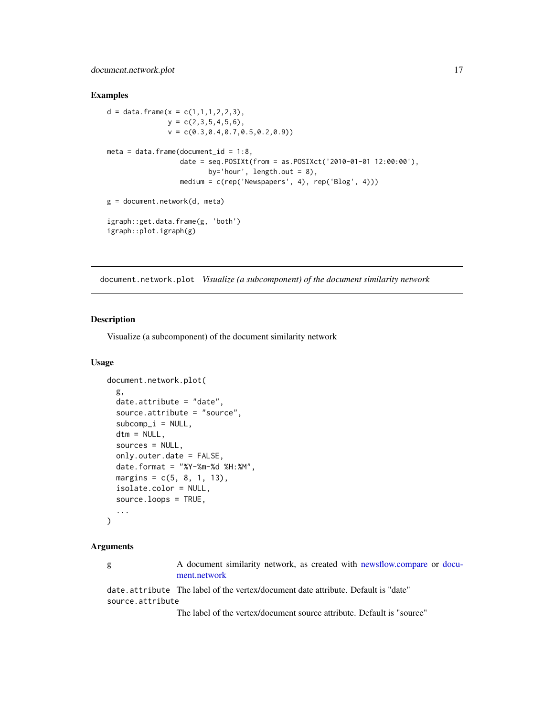# <span id="page-16-0"></span>document.network.plot 17

#### Examples

```
d = data. frame(x = c(1,1,1,2,2,3),
               y = c(2, 3, 5, 4, 5, 6),
               v = c(0.3, 0.4, 0.7, 0.5, 0.2, 0.9))meta = data.frame(document_id = 1:8,
                  date = seq.POSIXt(from = as.POSIXct('2010-01-01 12:00:00'),
                         by='hour', length.out = 8),
                  medium = c(rep('Newspapers', 4), rep('Blog', 4)))
g = document.network(d, meta)
igraph::get.data.frame(g, 'both')
igraph::plot.igraph(g)
```
document.network.plot *Visualize (a subcomponent) of the document similarity network*

#### Description

Visualize (a subcomponent) of the document similarity network

#### Usage

```
document.network.plot(
  g,
 date.attribute = "date",
  source.attribute = "source",
  subcomp_i = NULL,dtm = NULL,
  sources = NULL,
  only.outer.date = FALSE,
 date.format = "XY-Xm-Xd XH:'M",margins = c(5, 8, 1, 13),
  isolate.color = NULL,
  source.loops = TRUE,
  ...
\lambda
```
#### Arguments

g A document similarity network, as created with [newsflow.compare](#page-27-1) or [docu](#page-15-1)[ment.network](#page-15-1)

date.attribute The label of the vertex/document date attribute. Default is "date" source.attribute

The label of the vertex/document source attribute. Default is "source"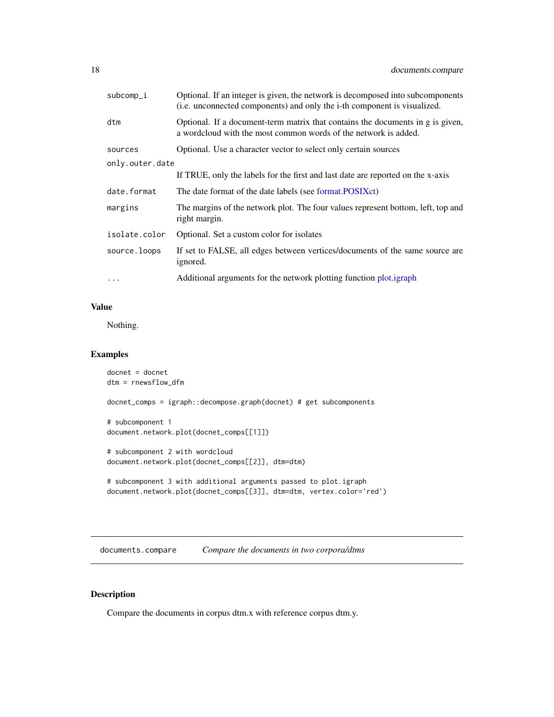<span id="page-17-0"></span>

| subcomp_i       | Optional. If an integer is given, the network is decomposed into subcomponents<br>(i.e. unconnected components) and only the i-th component is visualized. |
|-----------------|------------------------------------------------------------------------------------------------------------------------------------------------------------|
| dtm             | Optional. If a document-term matrix that contains the documents in g is given,<br>a wordcloud with the most common words of the network is added.          |
| sources         | Optional. Use a character vector to select only certain sources                                                                                            |
| only.outer.date |                                                                                                                                                            |
|                 | If TRUE, only the labels for the first and last date are reported on the x-axis                                                                            |
| date.format     | The date format of the date labels (see format.POSIXct)                                                                                                    |
| margins         | The margins of the network plot. The four values represent bottom, left, top and<br>right margin.                                                          |
| isolate.color   | Optional. Set a custom color for isolates                                                                                                                  |
| source.loops    | If set to FALSE, all edges between vertices/documents of the same source are<br>ignored.                                                                   |
| $\ddots$        | Additional arguments for the network plotting function plot.igraph                                                                                         |

#### Value

Nothing.

# Examples

```
docnet = docnet
dtm = rnewsflow_dfm
docnet_comps = igraph::decompose.graph(docnet) # get subcomponents
# subcomponent 1
document.network.plot(docnet_comps[[1]])
# subcomponent 2 with wordcloud
document.network.plot(docnet_comps[[2]], dtm=dtm)
# subcomponent 3 with additional arguments passed to plot.igraph
```

```
document.network.plot(docnet_comps[[3]], dtm=dtm, vertex.color='red')
```
documents.compare *Compare the documents in two corpora/dtms*

# Description

Compare the documents in corpus dtm.x with reference corpus dtm.y.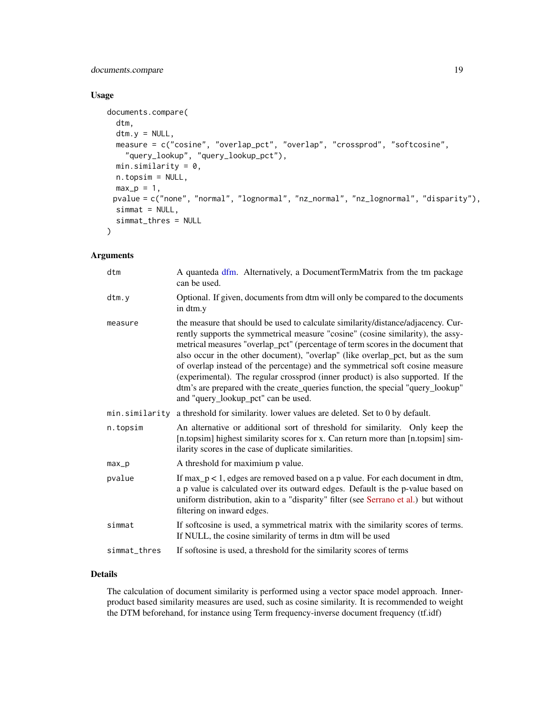# <span id="page-18-0"></span>documents.compare 19

# Usage

```
documents.compare(
  dtm,
  dtm.y = NULL,measure = c("cosine", "overlap_pct", "overlap", "crossprod", "softcosine",
    "query_lookup", "query_lookup_pct"),
 min.similarity = 0,
 n.topsim = NULL,
 max_p = 1,
 pvalue = c("none", "normal", "lognormal", "nz_normal", "nz_lognormal", "disparity"),
  simat = NULL,simmat_thres = NULL
\mathcal{L}
```
# Arguments

| dtm            | A quanteda dfm. Alternatively, a DocumentTermMatrix from the tm package<br>can be used.                                                                                                                                                                                                                                                                                                                                                                                                                                                                                                                                                |
|----------------|----------------------------------------------------------------------------------------------------------------------------------------------------------------------------------------------------------------------------------------------------------------------------------------------------------------------------------------------------------------------------------------------------------------------------------------------------------------------------------------------------------------------------------------------------------------------------------------------------------------------------------------|
| dtm.v          | Optional. If given, documents from dtm will only be compared to the documents<br>in dtm.y                                                                                                                                                                                                                                                                                                                                                                                                                                                                                                                                              |
| measure        | the measure that should be used to calculate similarity/distance/adjacency. Cur-<br>rently supports the symmetrical measure "cosine" (cosine similarity), the assy-<br>metrical measures "overlap_pct" (percentage of term scores in the document that<br>also occur in the other document), "overlap" (like overlap_pct, but as the sum<br>of overlap instead of the percentage) and the symmetrical soft cosine measure<br>(experimental). The regular crossprod (inner product) is also supported. If the<br>dtm's are prepared with the create_queries function, the special "query_lookup"<br>and "query_lookup_pct" can be used. |
| min.similarity | a threshold for similarity. lower values are deleted. Set to 0 by default.                                                                                                                                                                                                                                                                                                                                                                                                                                                                                                                                                             |
| n.topsim       | An alternative or additional sort of threshold for similarity. Only keep the<br>[n.topsim] highest similarity scores for x. Can return more than [n.topsim] sim-<br>ilarity scores in the case of duplicate similarities.                                                                                                                                                                                                                                                                                                                                                                                                              |
| max_p          | A threshold for maximium p value.                                                                                                                                                                                                                                                                                                                                                                                                                                                                                                                                                                                                      |
| pvalue         | If $max_p < 1$ , edges are removed based on a p value. For each document in dtm,<br>a p value is calculated over its outward edges. Default is the p-value based on<br>uniform distribution, akin to a "disparity" filter (see Serrano et al.) but without<br>filtering on inward edges.                                                                                                                                                                                                                                                                                                                                               |
| simmat         | If softcosine is used, a symmetrical matrix with the similarity scores of terms.<br>If NULL, the cosine similarity of terms in dtm will be used                                                                                                                                                                                                                                                                                                                                                                                                                                                                                        |
| simmat_thres   | If softosine is used, a threshold for the similarity scores of terms                                                                                                                                                                                                                                                                                                                                                                                                                                                                                                                                                                   |
|                |                                                                                                                                                                                                                                                                                                                                                                                                                                                                                                                                                                                                                                        |

# Details

The calculation of document similarity is performed using a vector space model approach. Innerproduct based similarity measures are used, such as cosine similarity. It is recommended to weight the DTM beforehand, for instance using Term frequency-inverse document frequency (tf.idf)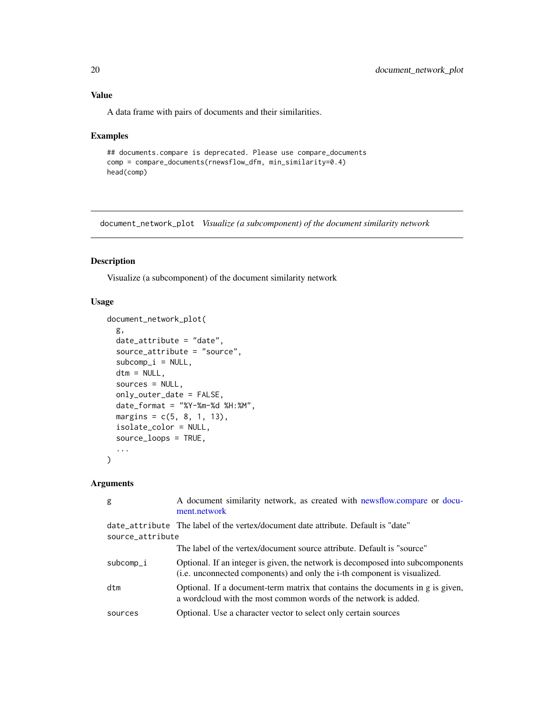# <span id="page-19-0"></span>Value

A data frame with pairs of documents and their similarities.

#### Examples

```
## documents.compare is deprecated. Please use compare_documents
comp = compare_documents(rnewsflow_dfm, min_similarity=0.4)
head(comp)
```
document\_network\_plot *Visualize (a subcomponent) of the document similarity network*

# Description

Visualize (a subcomponent) of the document similarity network

# Usage

```
document_network_plot(
  g,
  date_attribute = "date",
  source_attribute = "source",
  subcomp_i = NULL,dtm = NULL,
  sources = NULL,
 only_outer_date = FALSE,
  date_format = "%Y-%m-%d %H:%M",
 margins = c(5, 8, 1, 13),
  isolate_color = NULL,
  source_loops = TRUE,
  ...
\mathcal{E}
```

| g                | A document similarity network, as created with newsflow.compare or docu-<br>ment.network                                                                   |
|------------------|------------------------------------------------------------------------------------------------------------------------------------------------------------|
| source_attribute | date_attribute The label of the vertex/document date attribute. Default is "date"                                                                          |
|                  | The label of the vertex/document source attribute. Default is "source"                                                                                     |
| subcomp_i        | Optional. If an integer is given, the network is decomposed into subcomponents<br>(i.e. unconnected components) and only the i-th component is visualized. |
| dtm              | Optional. If a document-term matrix that contains the documents in g is given,<br>a wordcloud with the most common words of the network is added.          |
| sources          | Optional. Use a character vector to select only certain sources                                                                                            |
|                  |                                                                                                                                                            |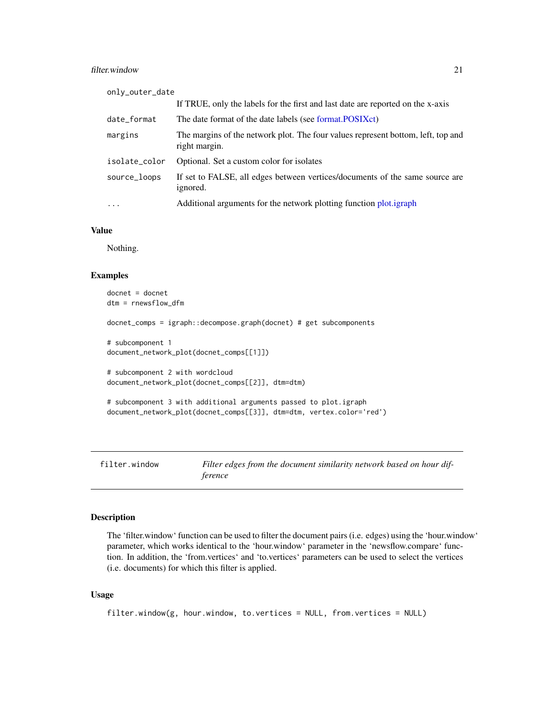#### <span id="page-20-0"></span>filter.window 21

| only_outer_date |                                                                                                   |
|-----------------|---------------------------------------------------------------------------------------------------|
|                 | If TRUE, only the labels for the first and last date are reported on the x-axis                   |
| date_format     | The date format of the date labels (see format.POSIXct)                                           |
| margins         | The margins of the network plot. The four values represent bottom, left, top and<br>right margin. |
| isolate_color   | Optional. Set a custom color for isolates                                                         |
| source_loops    | If set to FALSE, all edges between vertices/documents of the same source are<br>ignored.          |
| $\ddots$ .      | Additional arguments for the network plotting function plot.igraph                                |

#### Value

Nothing.

### Examples

```
docnet = docnet
dtm = rnewsflow_dfm
docnet_comps = igraph::decompose.graph(docnet) # get subcomponents
# subcomponent 1
document_network_plot(docnet_comps[[1]])
# subcomponent 2 with wordcloud
document_network_plot(docnet_comps[[2]], dtm=dtm)
# subcomponent 3 with additional arguments passed to plot.igraph
document_network_plot(docnet_comps[[3]], dtm=dtm, vertex.color='red')
```
<span id="page-20-1"></span>filter.window *Filter edges from the document similarity network based on hour difference*

# **Description**

The 'filter.window' function can be used to filter the document pairs (i.e. edges) using the 'hour.window' parameter, which works identical to the 'hour.window' parameter in the 'newsflow.compare' function. In addition, the 'from.vertices' and 'to.vertices' parameters can be used to select the vertices (i.e. documents) for which this filter is applied.

```
filter.window(g, hour.window, to.vertices = NULL, from.vertices = NULL)
```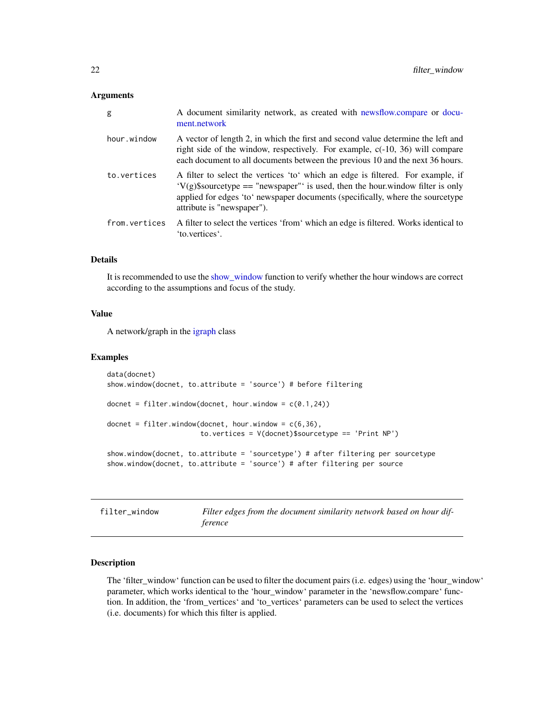<span id="page-21-0"></span>

| g             | A document similarity network, as created with newsflow.compare or docu-<br>ment.network                                                                                                                                                                                           |
|---------------|------------------------------------------------------------------------------------------------------------------------------------------------------------------------------------------------------------------------------------------------------------------------------------|
| hour.window   | A vector of length 2, in which the first and second value determine the left and<br>right side of the window, respectively. For example, $c(-10, 36)$ will compare<br>each document to all documents between the previous 10 and the next 36 hours.                                |
| to.vertices   | A filter to select the vertices 'to' which an edge is filtered. For example, if<br>$V(g)$ \$sourcetype == "newspaper" is used, then the hour window filter is only<br>applied for edges 'to' newspaper documents (specifically, where the sourcetype<br>attribute is "newspaper"). |
| from.vertices | A filter to select the vertices 'from' which an edge is filtered. Works identical to<br>'to.vertices'.                                                                                                                                                                             |

# Details

It is recommended to use the [show\\_window](#page-35-1) function to verify whether the hour windows are correct according to the assumptions and focus of the study.

# Value

A network/graph in the [igraph](#page-0-0) class

#### Examples

```
data(docnet)
show.window(docnet, to.attribute = 'source') # before filtering
docnet = filter.window(docnet, hour.window = c(0.1, 24))
docnet = filter<u>.window(docnet, hour.window = c(6,36),</u>
                       to.vertices = V(docnet)$sourcetype == 'Print NP')
show.window(docnet, to.attribute = 'sourcetype') # after filtering per sourcetype
show.window(docnet, to.attribute = 'source') # after filtering per source
```
filter\_window *Filter edges from the document similarity network based on hour difference*

# Description

The 'filter\_window' function can be used to filter the document pairs (i.e. edges) using the 'hour\_window' parameter, which works identical to the 'hour\_window' parameter in the 'newsflow.compare' function. In addition, the 'from\_vertices' and 'to\_vertices' parameters can be used to select the vertices (i.e. documents) for which this filter is applied.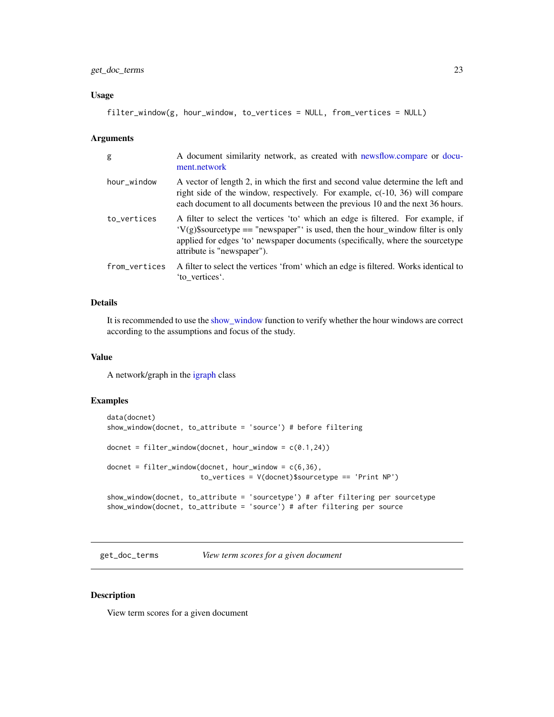#### <span id="page-22-0"></span>Usage

filter\_window(g, hour\_window, to\_vertices = NULL, from\_vertices = NULL)

#### Arguments

| g             | A document similarity network, as created with newsflow.compare or docu-<br>ment.network                                                                                                                                                                                           |
|---------------|------------------------------------------------------------------------------------------------------------------------------------------------------------------------------------------------------------------------------------------------------------------------------------|
| hour_window   | A vector of length 2, in which the first and second value determine the left and<br>right side of the window, respectively. For example, $c(-10, 36)$ will compare<br>each document to all documents between the previous 10 and the next 36 hours.                                |
| to_vertices   | A filter to select the vertices 'to' which an edge is filtered. For example, if<br>$V(g)$ \$sourcetype == "newspaper" is used, then the hour_window filter is only<br>applied for edges 'to' newspaper documents (specifically, where the sourcetype<br>attribute is "newspaper"). |
| from_vertices | A filter to select the vertices 'from' which an edge is filtered. Works identical to<br>'to vertices'.                                                                                                                                                                             |

# Details

It is recommended to use the [show\\_window](#page-35-1) function to verify whether the hour windows are correct according to the assumptions and focus of the study.

# Value

A network/graph in the [igraph](#page-0-0) class

# Examples

```
data(docnet)
show_window(docnet, to_attribute = 'source') # before filtering
docnet = filter_window(docnet, hour_window = c(0.1,24))
docnet = filter_window(docnet, hour_window = c(6,36),
                      to_vertices = V(docnet)$sourcetype == 'Print NP')
show_window(docnet, to_attribute = 'sourcetype') # after filtering per sourcetype
show_window(docnet, to_attribute = 'source') # after filtering per source
```
get\_doc\_terms *View term scores for a given document*

#### Description

View term scores for a given document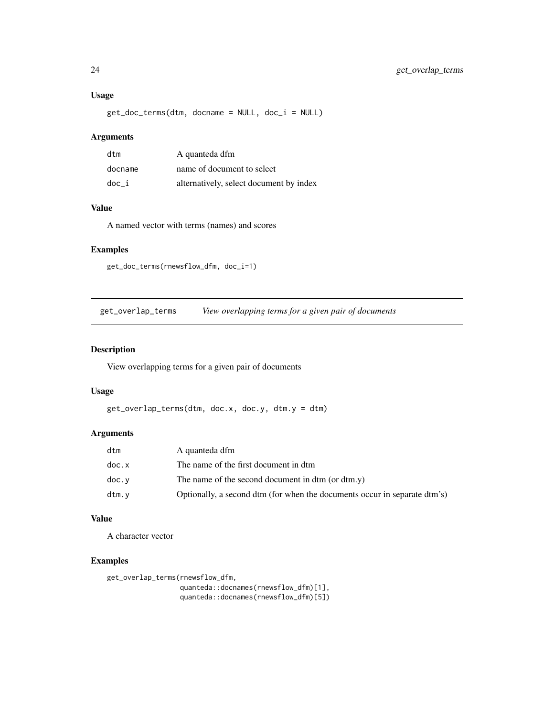# <span id="page-23-0"></span>Usage

get\_doc\_terms(dtm, docname = NULL, doc\_i = NULL)

# Arguments

| dtm     | A quanteda dfm                          |
|---------|-----------------------------------------|
| docname | name of document to select              |
| doc i   | alternatively, select document by index |

# Value

A named vector with terms (names) and scores

# Examples

```
get_doc_terms(rnewsflow_dfm, doc_i=1)
```
get\_overlap\_terms *View overlapping terms for a given pair of documents*

# Description

View overlapping terms for a given pair of documents

# Usage

```
get_overlap_terms(dtm, doc.x, doc.y, dtm.y = dtm)
```
# Arguments

| dtm   | A quanteda dfm                                                            |
|-------|---------------------------------------------------------------------------|
| doc.x | The name of the first document in dtm                                     |
| doc.v | The name of the second document in dtm (or dtm.y)                         |
| dtm.v | Optionally, a second dtm (for when the documents occur in separate dtm's) |

# Value

A character vector

# Examples

```
get_overlap_terms(rnewsflow_dfm,
```
quanteda::docnames(rnewsflow\_dfm)[1], quanteda::docnames(rnewsflow\_dfm)[5])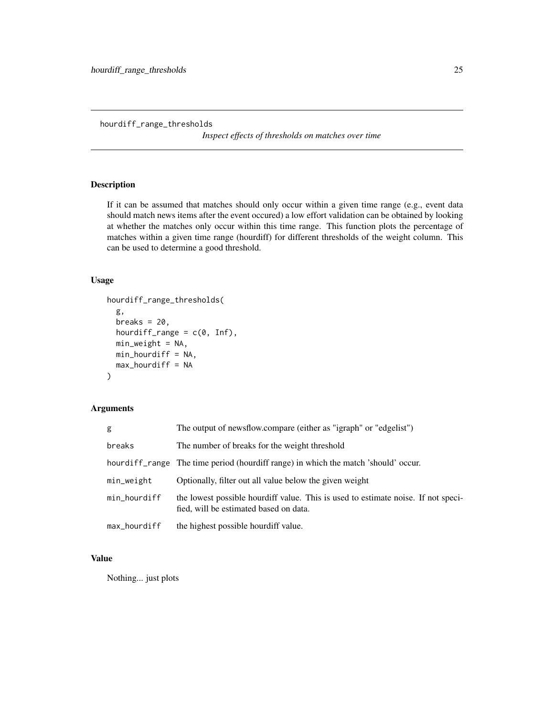<span id="page-24-0"></span>hourdiff\_range\_thresholds

*Inspect effects of thresholds on matches over time*

# Description

If it can be assumed that matches should only occur within a given time range (e.g., event data should match news items after the event occured) a low effort validation can be obtained by looking at whether the matches only occur within this time range. This function plots the percentage of matches within a given time range (hourdiff) for different thresholds of the weight column. This can be used to determine a good threshold.

# Usage

```
hourdiff_range_thresholds(
  g,
  breaks = 20,
  hourdiff_range = c(\emptyset, Inf),
  min_weight = NA,
  min_hourdiff = NA,
  max\_hourdiff = NA\mathcal{E}
```
# Arguments

| g            | The output of newsflow.compare (either as "igraph" or "edgelist")                                                           |
|--------------|-----------------------------------------------------------------------------------------------------------------------------|
| breaks       | The number of breaks for the weight threshold                                                                               |
|              | hourdiff range The time period (hourdiff range) in which the match 'should' occur.                                          |
| min_weight   | Optionally, filter out all value below the given weight                                                                     |
| min_hourdiff | the lowest possible hourdiff value. This is used to estimate noise. If not speci-<br>fied, will be estimated based on data. |
| max_hourdiff | the highest possible hourdiff value.                                                                                        |

# Value

Nothing... just plots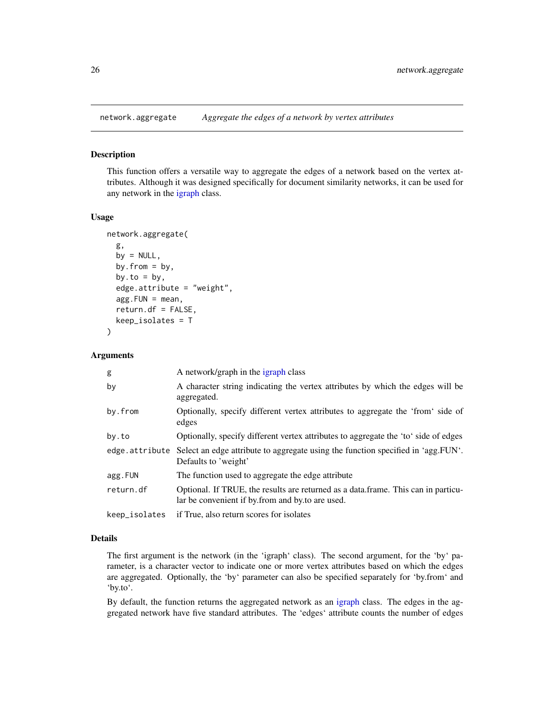<span id="page-25-0"></span>

#### Description

This function offers a versatile way to aggregate the edges of a network based on the vertex attributes. Although it was designed specifically for document similarity networks, it can be used for any network in the [igraph](#page-0-0) class.

#### Usage

```
network.aggregate(
  g,
 by = NULL,
 by.from = by,
 by.to = by,
  edge.attribute = "weight",
  agg.FUN = mean,return.df = FALSE,
 keep_isolates = T
)
```
#### Arguments

| g             | A network/graph in the igraph class                                                                                                   |
|---------------|---------------------------------------------------------------------------------------------------------------------------------------|
| by            | A character string indicating the vertex attributes by which the edges will be<br>aggregated.                                         |
| by.from       | Optionally, specify different vertex attributes to aggregate the 'from' side of<br>edges                                              |
| by.to         | Optionally, specify different vertex attributes to aggregate the 'to' side of edges                                                   |
|               | edge attribute Select an edge attribute to aggregate using the function specified in 'agg. FUN'.<br>Defaults to 'weight'              |
| agg.FUN       | The function used to aggregate the edge attribute                                                                                     |
| return.df     | Optional. If TRUE, the results are returned as a data frame. This can in particu-<br>lar be convenient if by from and by to are used. |
| keep_isolates | if True, also return scores for isolates                                                                                              |

#### Details

The first argument is the network (in the 'igraph' class). The second argument, for the 'by' parameter, is a character vector to indicate one or more vertex attributes based on which the edges are aggregated. Optionally, the 'by' parameter can also be specified separately for 'by.from' and 'by.to'.

By default, the function returns the aggregated network as an [igraph](#page-0-0) class. The edges in the aggregated network have five standard attributes. The 'edges' attribute counts the number of edges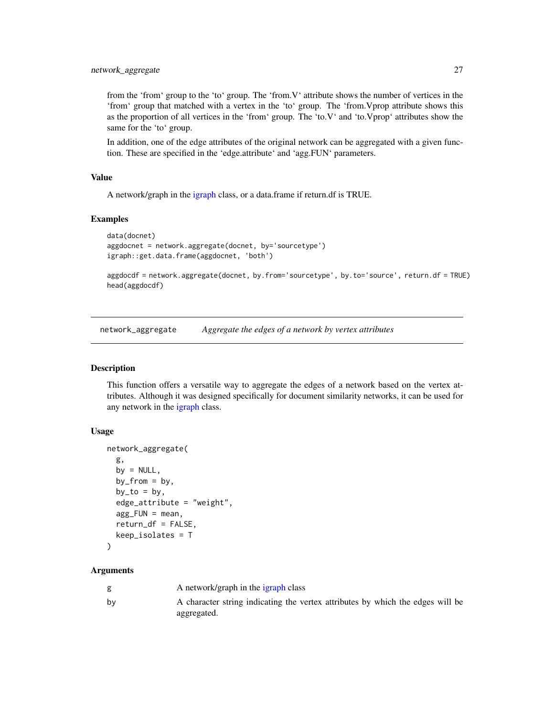<span id="page-26-0"></span>from the 'from' group to the 'to' group. The 'from.V' attribute shows the number of vertices in the 'from' group that matched with a vertex in the 'to' group. The 'from.Vprop attribute shows this as the proportion of all vertices in the 'from' group. The 'to.V' and 'to.Vprop' attributes show the same for the 'to' group.

In addition, one of the edge attributes of the original network can be aggregated with a given function. These are specified in the 'edge.attribute' and 'agg.FUN' parameters.

# Value

A network/graph in the [igraph](#page-0-0) class, or a data.frame if return.df is TRUE.

#### Examples

```
data(docnet)
aggdocnet = network.aggregate(docnet, by='sourcetype')
igraph::get.data.frame(aggdocnet, 'both')
```
aggdocdf = network.aggregate(docnet, by.from='sourcetype', by.to='source', return.df = TRUE) head(aggdocdf)

network\_aggregate *Aggregate the edges of a network by vertex attributes*

# Description

This function offers a versatile way to aggregate the edges of a network based on the vertex attributes. Although it was designed specifically for document similarity networks, it can be used for any network in the [igraph](#page-0-0) class.

#### Usage

```
network_aggregate(
  g,
 by = NULL,
 by_from = by,
 by_to = by,
  edge_attribute = "weight",
  agg_FUN = mean,
  return_df = FALSE,
  keep_isolates = T
)
```

|    | A network/graph in the igraph class                                            |
|----|--------------------------------------------------------------------------------|
| bv | A character string indicating the vertex attributes by which the edges will be |
|    | aggregated.                                                                    |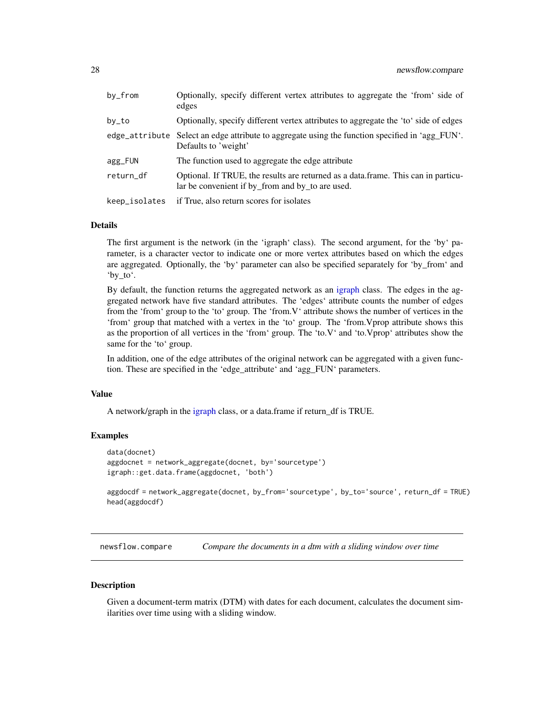<span id="page-27-0"></span>

| by_from       | Optionally, specify different vertex attributes to aggregate the 'from' side of<br>edges                                              |
|---------------|---------------------------------------------------------------------------------------------------------------------------------------|
| by_to         | Optionally, specify different vertex attributes to aggregate the 'to' side of edges                                                   |
|               | edge_attribute Select an edge attribute to aggregate using the function specified in 'agg_FUN'.<br>Defaults to 'weight'               |
| agg_FUN       | The function used to aggregate the edge attribute                                                                                     |
| return_df     | Optional. If TRUE, the results are returned as a data frame. This can in particu-<br>lar be convenient if by from and by to are used. |
| keep_isolates | if True, also return scores for isolates                                                                                              |

#### Details

The first argument is the network (in the 'igraph' class). The second argument, for the 'by' parameter, is a character vector to indicate one or more vertex attributes based on which the edges are aggregated. Optionally, the 'by' parameter can also be specified separately for 'by\_from' and 'by\_to'.

By default, the function returns the aggregated network as an [igraph](#page-0-0) class. The edges in the aggregated network have five standard attributes. The 'edges' attribute counts the number of edges from the 'from' group to the 'to' group. The 'from.V' attribute shows the number of vertices in the 'from' group that matched with a vertex in the 'to' group. The 'from.Vprop attribute shows this as the proportion of all vertices in the 'from' group. The 'to.V' and 'to.Vprop' attributes show the same for the 'to' group.

In addition, one of the edge attributes of the original network can be aggregated with a given function. These are specified in the 'edge\_attribute' and 'agg\_FUN' parameters.

#### Value

A network/graph in the [igraph](#page-0-0) class, or a data.frame if return\_df is TRUE.

#### Examples

```
data(docnet)
aggdocnet = network_aggregate(docnet, by='sourcetype')
igraph::get.data.frame(aggdocnet, 'both')
```
aggdocdf = network\_aggregate(docnet, by\_from='sourcetype', by\_to='source', return\_df = TRUE) head(aggdocdf)

<span id="page-27-1"></span>newsflow.compare *Compare the documents in a dtm with a sliding window over time*

#### **Description**

Given a document-term matrix (DTM) with dates for each document, calculates the document similarities over time using with a sliding window.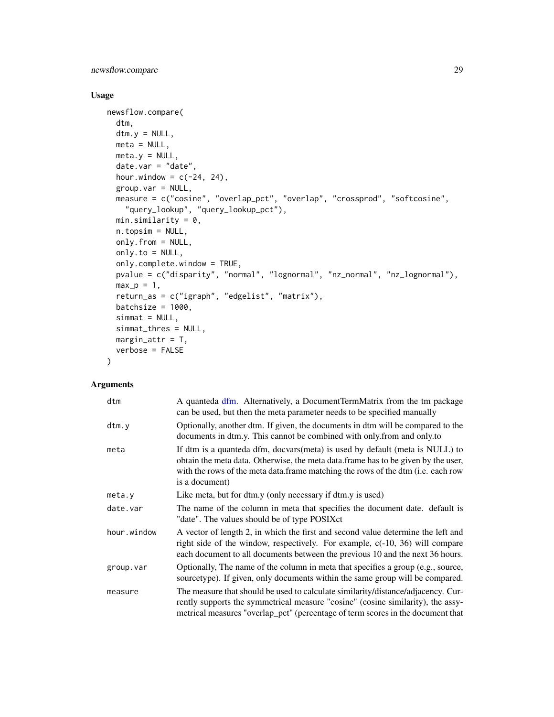<span id="page-28-0"></span>newsflow.compare 29

# Usage

```
newsflow.compare(
 dtm,
 dtm.y = NULL,
 meta = NULL,meta.y = NULL,date.var = "date",
 hour.window = c(-24, 24),
 group var = NULL,measure = c("cosine", "overlap_pct", "overlap", "crossprod", "softcosine",
    "query_lookup", "query_lookup_pct"),
 min.similarity = 0,
 n.topsim = NULL,
 only.from = NULL,
 only.to = NULL,
 only.complete.window = TRUE,
 pvalue = c("disparity", "normal", "lognormal", "nz_normal", "nz_lognormal"),
 max_p = 1,
 return_as = c("igraph", "edgelist", "matrix"),
 batchsize = 1000,
 simat = NULL,simmat_thres = NULL,
 margin\_attr = T,
 verbose = FALSE
\lambda
```

| dtm         | A quanteda dfm. Alternatively, a DocumentTermMatrix from the tm package<br>can be used, but then the meta parameter needs to be specified manually                                                                                                                      |
|-------------|-------------------------------------------------------------------------------------------------------------------------------------------------------------------------------------------------------------------------------------------------------------------------|
| dtm.y       | Optionally, another dtm. If given, the documents in dtm will be compared to the<br>documents in dtm.y. This cannot be combined with only from and only to                                                                                                               |
| meta        | If dtm is a quanteda dfm, docvars(meta) is used by default (meta is NULL) to<br>obtain the meta data. Otherwise, the meta data frame has to be given by the user,<br>with the rows of the meta data.frame matching the rows of the dtm (i.e. each row<br>is a document) |
| meta.y      | Like meta, but for dtm.y (only necessary if dtm.y is used)                                                                                                                                                                                                              |
| date.var    | The name of the column in meta that specifies the document date. default is<br>"date". The values should be of type POSIXct                                                                                                                                             |
| hour.window | A vector of length 2, in which the first and second value determine the left and<br>right side of the window, respectively. For example, $c(-10, 36)$ will compare<br>each document to all documents between the previous 10 and the next 36 hours.                     |
| group.var   | Optionally, The name of the column in meta that specifies a group (e.g., source,<br>sourcetype). If given, only documents within the same group will be compared.                                                                                                       |
| measure     | The measure that should be used to calculate similarity/distance/adjacency. Cur-<br>rently supports the symmetrical measure "cosine" (cosine similarity), the assy-<br>metrical measures "overlap_pct" (percentage of term scores in the document that                  |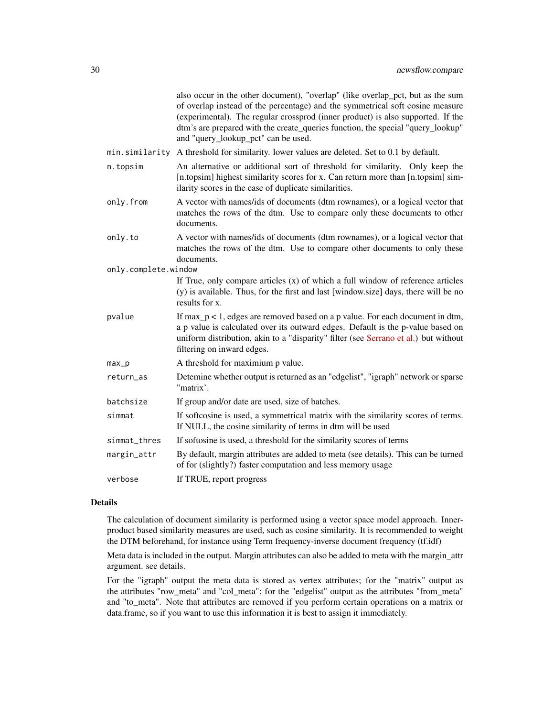|                      | also occur in the other document), "overlap" (like overlap_pct, but as the sum<br>of overlap instead of the percentage) and the symmetrical soft cosine measure<br>(experimental). The regular crossprod (inner product) is also supported. If the<br>dtm's are prepared with the create_queries function, the special "query_lookup"<br>and "query_lookup_pct" can be used. |
|----------------------|------------------------------------------------------------------------------------------------------------------------------------------------------------------------------------------------------------------------------------------------------------------------------------------------------------------------------------------------------------------------------|
| min.similarity       | A threshold for similarity. lower values are deleted. Set to 0.1 by default.                                                                                                                                                                                                                                                                                                 |
| n.topsim             | An alternative or additional sort of threshold for similarity. Only keep the<br>[n.topsim] highest similarity scores for x. Can return more than [n.topsim] sim-<br>ilarity scores in the case of duplicate similarities.                                                                                                                                                    |
| only.from            | A vector with names/ids of documents (dtm rownames), or a logical vector that<br>matches the rows of the dtm. Use to compare only these documents to other<br>documents.                                                                                                                                                                                                     |
| only.to              | A vector with names/ids of documents (dtm rownames), or a logical vector that<br>matches the rows of the dtm. Use to compare other documents to only these<br>documents.                                                                                                                                                                                                     |
| only.complete.window |                                                                                                                                                                                                                                                                                                                                                                              |
|                      | If True, only compare articles $(x)$ of which a full window of reference articles<br>(y) is available. Thus, for the first and last [window.size] days, there will be no<br>results for x.                                                                                                                                                                                   |
| pvalue               | If $max_p < 1$ , edges are removed based on a p value. For each document in dtm,<br>a p value is calculated over its outward edges. Default is the p-value based on<br>uniform distribution, akin to a "disparity" filter (see Serrano et al.) but without<br>filtering on inward edges.                                                                                     |
| $max_p$              | A threshold for maximium p value.                                                                                                                                                                                                                                                                                                                                            |
| return_as            | Detemine whether output is returned as an "edgelist", "igraph" network or sparse<br>"matrix'.                                                                                                                                                                                                                                                                                |
| batchsize            | If group and/or date are used, size of batches.                                                                                                                                                                                                                                                                                                                              |
| simmat               | If softcosine is used, a symmetrical matrix with the similarity scores of terms.<br>If NULL, the cosine similarity of terms in dtm will be used                                                                                                                                                                                                                              |
| simmat_thres         | If softosine is used, a threshold for the similarity scores of terms                                                                                                                                                                                                                                                                                                         |
| margin_attr          | By default, margin attributes are added to meta (see details). This can be turned<br>of for (slightly?) faster computation and less memory usage                                                                                                                                                                                                                             |
| verbose              | If TRUE, report progress                                                                                                                                                                                                                                                                                                                                                     |

# Details

The calculation of document similarity is performed using a vector space model approach. Innerproduct based similarity measures are used, such as cosine similarity. It is recommended to weight the DTM beforehand, for instance using Term frequency-inverse document frequency (tf.idf)

Meta data is included in the output. Margin attributes can also be added to meta with the margin\_attr argument. see details.

For the "igraph" output the meta data is stored as vertex attributes; for the "matrix" output as the attributes "row\_meta" and "col\_meta"; for the "edgelist" output as the attributes "from\_meta" and "to\_meta". Note that attributes are removed if you perform certain operations on a matrix or data.frame, so if you want to use this information it is best to assign it immediately.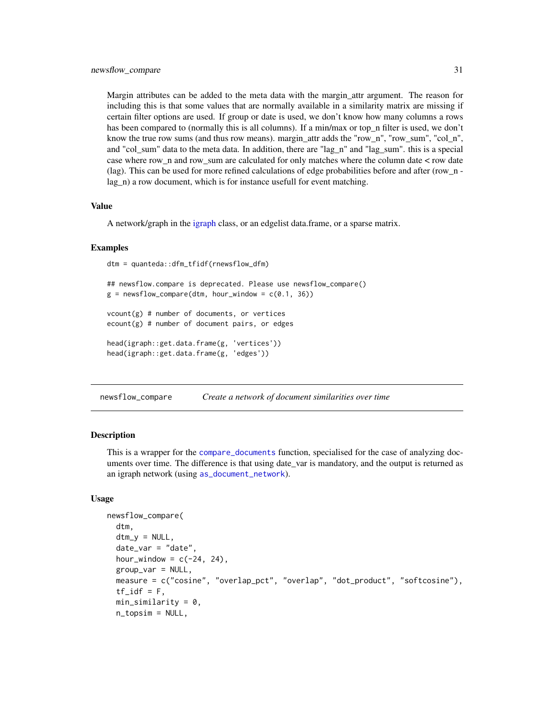<span id="page-30-0"></span>Margin attributes can be added to the meta data with the margin\_attr argument. The reason for including this is that some values that are normally available in a similarity matrix are missing if certain filter options are used. If group or date is used, we don't know how many columns a rows has been compared to (normally this is all columns). If a min/max or top\_n filter is used, we don't know the true row sums (and thus row means). margin attr adds the "row n", "row sum", "col n", and "col\_sum" data to the meta data. In addition, there are "lag\_n" and "lag\_sum". this is a special case where row  $n$  and row sum are calculated for only matches where the column date  $\lt$  row date (lag). This can be used for more refined calculations of edge probabilities before and after (row\_n lag n) a row document, which is for instance usefull for event matching.

#### Value

A network/graph in the [igraph](#page-0-0) class, or an edgelist data.frame, or a sparse matrix.

#### Examples

```
dtm = quanteda::dfm_tfidf(rnewsflow_dfm)
```

```
## newsflow.compare is deprecated. Please use newsflow_compare()
g = newsflow\_compare(dtm, hour\_window = c(0.1, 36))vcount(g) # number of documents, or vertices
ecount(g) # number of document pairs, or edges
head(igraph::get.data.frame(g, 'vertices'))
```

```
head(igraph::get.data.frame(g, 'edges'))
```
newsflow\_compare *Create a network of document similarities over time*

#### Description

This is a wrapper for the [compare\\_documents](#page-2-1) function, specialised for the case of analyzing documents over time. The difference is that using date\_var is mandatory, and the output is returned as an igraph network (using [as\\_document\\_network](#page-1-1)).

```
newsflow_compare(
  dtm,
  dtm_y = NULL,date\_var = "date",hour_window = c(-24, 24),
  group_var = NULL,
  measure = c("cosine", "overlap_pct", "overlap", "dot_product", "softcosine"),
  tf_idf = F,
  min_similarity = 0,
  n_topsim = NULL,
```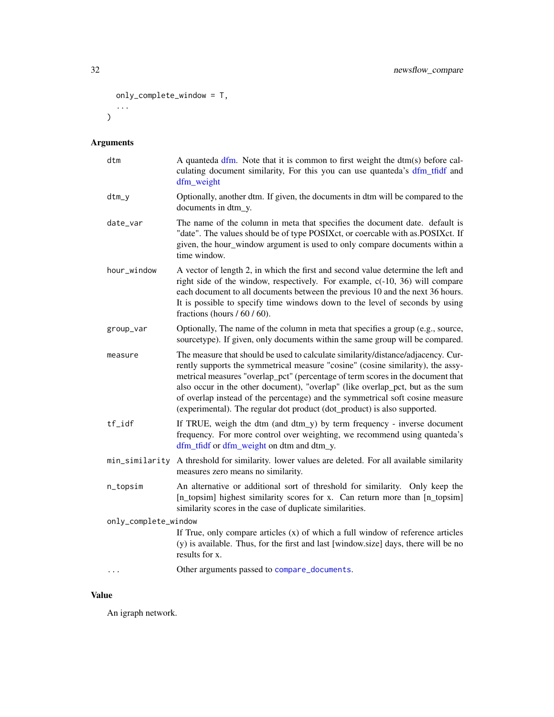```
only_complete_window = T,
  ...
\overline{)}
```

| dtm                  | A quanteda dfm. Note that it is common to first weight the dtm(s) before cal-<br>culating document similarity, For this you can use quanteda's dfm_tfidf and<br>dfm_weight                                                                                                                                                                                                                                                                                                                            |
|----------------------|-------------------------------------------------------------------------------------------------------------------------------------------------------------------------------------------------------------------------------------------------------------------------------------------------------------------------------------------------------------------------------------------------------------------------------------------------------------------------------------------------------|
| dtm_y                | Optionally, another dtm. If given, the documents in dtm will be compared to the<br>documents in dtm_y.                                                                                                                                                                                                                                                                                                                                                                                                |
| date_var             | The name of the column in meta that specifies the document date. default is<br>"date". The values should be of type POSIXct, or coercable with as.POSIXct. If<br>given, the hour_window argument is used to only compare documents within a<br>time window.                                                                                                                                                                                                                                           |
| hour_window          | A vector of length 2, in which the first and second value determine the left and<br>right side of the window, respectively. For example, c(-10, 36) will compare<br>each document to all documents between the previous 10 and the next 36 hours.<br>It is possible to specify time windows down to the level of seconds by using<br>fractions (hours $/ 60 / 60$ ).                                                                                                                                  |
| group_var            | Optionally, The name of the column in meta that specifies a group (e.g., source,<br>sourcetype). If given, only documents within the same group will be compared.                                                                                                                                                                                                                                                                                                                                     |
| measure              | The measure that should be used to calculate similarity/distance/adjacency. Cur-<br>rently supports the symmetrical measure "cosine" (cosine similarity), the assy-<br>metrical measures "overlap_pct" (percentage of term scores in the document that<br>also occur in the other document), "overlap" (like overlap_pct, but as the sum<br>of overlap instead of the percentage) and the symmetrical soft cosine measure<br>(experimental). The regular dot product (dot_product) is also supported. |
| $tf_idf$             | If TRUE, weigh the dtm (and dtm_y) by term frequency - inverse document<br>frequency. For more control over weighting, we recommend using quanteda's<br>dfm_tfidf or dfm_weight on dtm and dtm_y.                                                                                                                                                                                                                                                                                                     |
|                      | min_similarity A threshold for similarity. lower values are deleted. For all available similarity<br>measures zero means no similarity.                                                                                                                                                                                                                                                                                                                                                               |
| n_topsim             | An alternative or additional sort of threshold for similarity. Only keep the<br>[n_topsim] highest similarity scores for x. Can return more than [n_topsim]<br>similarity scores in the case of duplicate similarities.                                                                                                                                                                                                                                                                               |
| only_complete_window |                                                                                                                                                                                                                                                                                                                                                                                                                                                                                                       |
|                      | If True, only compare articles (x) of which a full window of reference articles<br>(y) is available. Thus, for the first and last [window.size] days, there will be no<br>results for x.                                                                                                                                                                                                                                                                                                              |
| $\ddots$             | Other arguments passed to compare_documents.                                                                                                                                                                                                                                                                                                                                                                                                                                                          |
|                      |                                                                                                                                                                                                                                                                                                                                                                                                                                                                                                       |

# Value

An igraph network.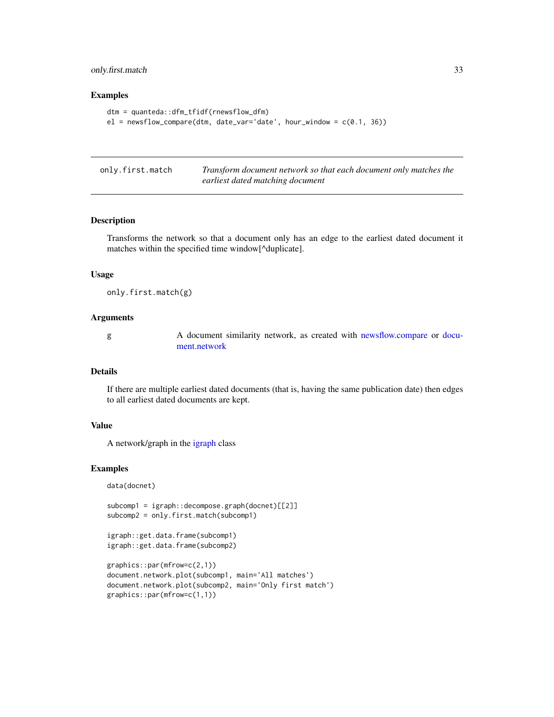# <span id="page-32-0"></span>only.first.match 33

#### Examples

```
dtm = quanteda::dfm_tfidf(rnewsflow_dfm)
el = newsflow\_compare(dtm, date\_var='date', hour\_window = c(0.1, 36))
```
only.first.match *Transform document network so that each document only matches the earliest dated matching document*

#### Description

Transforms the network so that a document only has an edge to the earliest dated document it matches within the specified time window[^duplicate].

#### Usage

only.first.match(g)

#### Arguments

g A document similarity network, as created with [newsflow.compare](#page-27-1) or [docu](#page-15-1)[ment.network](#page-15-1)

#### Details

If there are multiple earliest dated documents (that is, having the same publication date) then edges to all earliest dated documents are kept.

#### Value

A network/graph in the [igraph](#page-0-0) class

#### Examples

```
data(docnet)
```

```
subcomp1 = igraph::decompose.graph(docnet)[[2]]
subcomp2 = only.first.match(subcomp1)
```

```
igraph::get.data.frame(subcomp1)
igraph::get.data.frame(subcomp2)
```

```
graphics::par(mfrow=c(2,1))
document.network.plot(subcomp1, main='All matches')
document.network.plot(subcomp2, main='Only first match')
graphics::par(mfrow=c(1,1))
```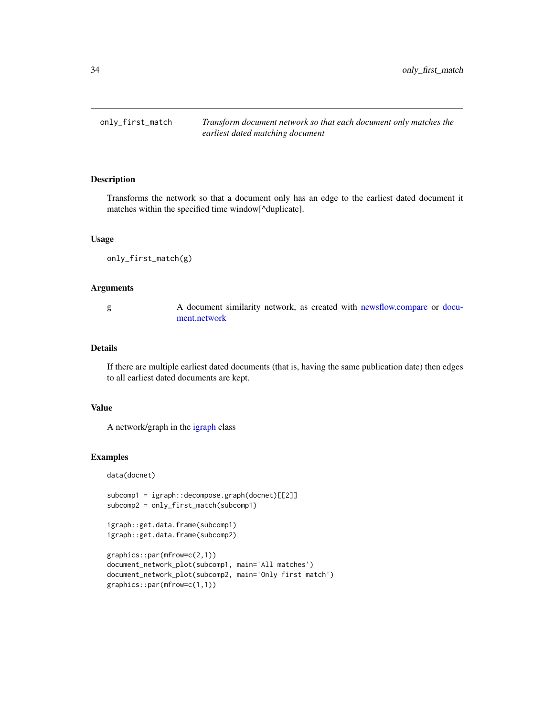<span id="page-33-0"></span>only\_first\_match *Transform document network so that each document only matches the earliest dated matching document*

# Description

Transforms the network so that a document only has an edge to the earliest dated document it matches within the specified time window[^duplicate].

#### Usage

only\_first\_match(g)

#### Arguments

g A document similarity network, as created with [newsflow.compare](#page-27-1) or [docu](#page-15-1)[ment.network](#page-15-1)

#### Details

If there are multiple earliest dated documents (that is, having the same publication date) then edges to all earliest dated documents are kept.

#### Value

A network/graph in the [igraph](#page-0-0) class

#### Examples

data(docnet)

```
subcomp1 = igraph::decompose.graph(docnet)[[2]]
subcomp2 = only_first_match(subcomp1)
```

```
igraph::get.data.frame(subcomp1)
igraph::get.data.frame(subcomp2)
```

```
graphics::par(mfrow=c(2,1))
document_network_plot(subcomp1, main='All matches')
document_network_plot(subcomp2, main='Only first match')
graphics::par(mfrow=c(1,1))
```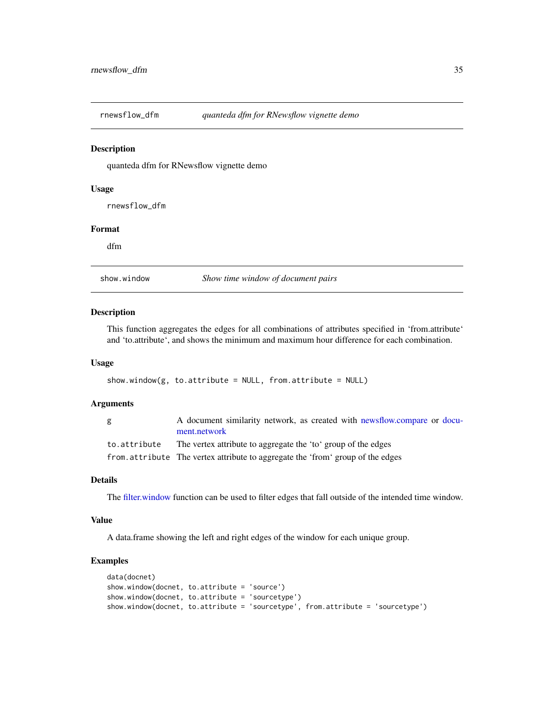<span id="page-34-0"></span>rnewsflow\_dfm *quanteda dfm for RNewsflow vignette demo*

# Description

quanteda dfm for RNewsflow vignette demo

# Usage

rnewsflow\_dfm

# Format

dfm

show.window *Show time window of document pairs*

#### Description

This function aggregates the edges for all combinations of attributes specified in 'from.attribute' and 'to.attribute', and shows the minimum and maximum hour difference for each combination.

#### Usage

```
show.window(g, to.attribute = NULL, from.attribute = NULL)
```
#### Arguments

| g            | A document similarity network, as created with newsflow.compare or docu-<br>ment.network |
|--------------|------------------------------------------------------------------------------------------|
| to.attribute | The vertex attribute to aggregate the 'to' group of the edges                            |
|              | from attribute The vertex attribute to aggregate the 'from' group of the edges           |

#### Details

The [filter.window](#page-20-1) function can be used to filter edges that fall outside of the intended time window.

#### Value

A data.frame showing the left and right edges of the window for each unique group.

# Examples

```
data(docnet)
show.window(docnet, to.attribute = 'source')
show.window(docnet, to.attribute = 'sourcetype')
show.window(docnet, to.attribute = 'sourcetype', from.attribute = 'sourcetype')
```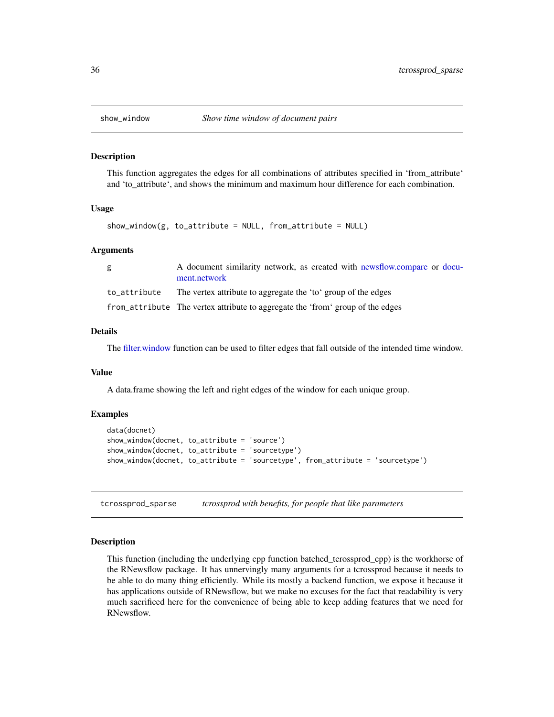<span id="page-35-1"></span><span id="page-35-0"></span>

#### Description

This function aggregates the edges for all combinations of attributes specified in 'from\_attribute' and 'to\_attribute', and shows the minimum and maximum hour difference for each combination.

#### Usage

```
show_window(g, to_attribute = NULL, from_attribute = NULL)
```
#### Arguments

| g | A document similarity network, as created with newsflow.compare or docu-<br>ment.network |
|---|------------------------------------------------------------------------------------------|
|   | to attribute The vertex attribute to aggregate the 'to' group of the edges               |
|   | from_attribute The vertex attribute to aggregate the 'from' group of the edges           |

# Details

The [filter.window](#page-20-1) function can be used to filter edges that fall outside of the intended time window.

#### Value

A data.frame showing the left and right edges of the window for each unique group.

#### Examples

```
data(docnet)
show_window(docnet, to_attribute = 'source')
show_window(docnet, to_attribute = 'sourcetype')
show_window(docnet, to_attribute = 'sourcetype', from_attribute = 'sourcetype')
```
tcrossprod\_sparse *tcrossprod with benefits, for people that like parameters*

#### Description

This function (including the underlying cpp function batched\_tcrossprod\_cpp) is the workhorse of the RNewsflow package. It has unnervingly many arguments for a tcrossprod because it needs to be able to do many thing efficiently. While its mostly a backend function, we expose it because it has applications outside of RNewsflow, but we make no excuses for the fact that readability is very much sacrificed here for the convenience of being able to keep adding features that we need for RNewsflow.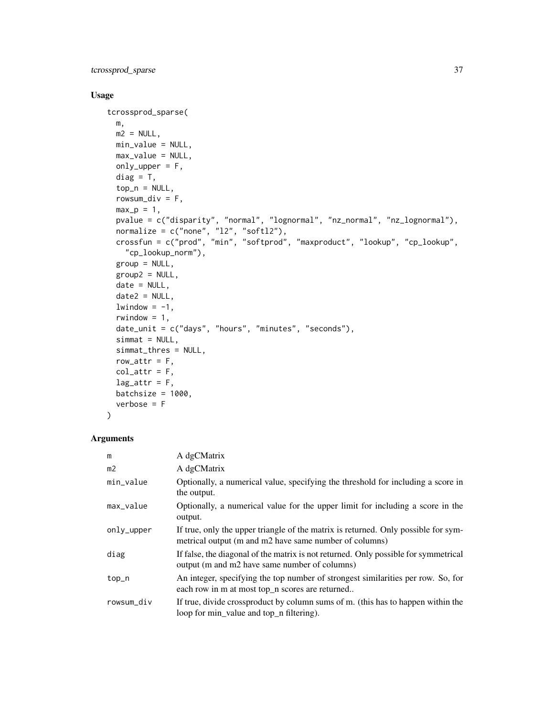tcrossprod\_sparse 37

# Usage

```
tcrossprod_sparse(
 m,
 m2 = NULL,min_value = NULL,
 max_value = NULL,
 only_upper = F,
 diag = T,
  top_n = NULL,rowsum_div = F,
 max_p = 1,
 pvalue = c("disparity", "normal", "lognormal", "nz_normal", "nz_lognormal"),
 normalize = c("none", "12", "soft12"),crossfun = c("prod", "min", "softprod", "maxproduct", "lookup", "cp_lookup",
    "cp_lookup_norm"),
 group = NULL,
 group2 = NULL,date = NULL,date2 = NULL,lwindow = -1,
 rwindow = 1,
 date_unit = c("days", "hours", "minutes", "seconds"),
  simat = NULL,simmat_thres = NULL,
 row_attr = F,
 col\_attr = F,
 lag_attr = F,batchsize = 1000,
 verbose = F
)
```

| m              | A dgCMatrix                                                                                                                                  |
|----------------|----------------------------------------------------------------------------------------------------------------------------------------------|
| m <sub>2</sub> | A dgCMatrix                                                                                                                                  |
| min_value      | Optionally, a numerical value, specifying the threshold for including a score in<br>the output.                                              |
| max_value      | Optionally, a numerical value for the upper limit for including a score in the<br>output.                                                    |
| only_upper     | If true, only the upper triangle of the matrix is returned. Only possible for sym-<br>metrical output (m and m2 have same number of columns) |
| diag           | If false, the diagonal of the matrix is not returned. Only possible for symmetrical<br>output (m and m2 have same number of columns)         |
| top_n          | An integer, specifying the top number of strongest similarities per row. So, for<br>each row in m at most top_n scores are returned          |
| rowsum_div     | If true, divide crossproduct by column sums of m. (this has to happen within the<br>loop for min_value and top_n filtering).                 |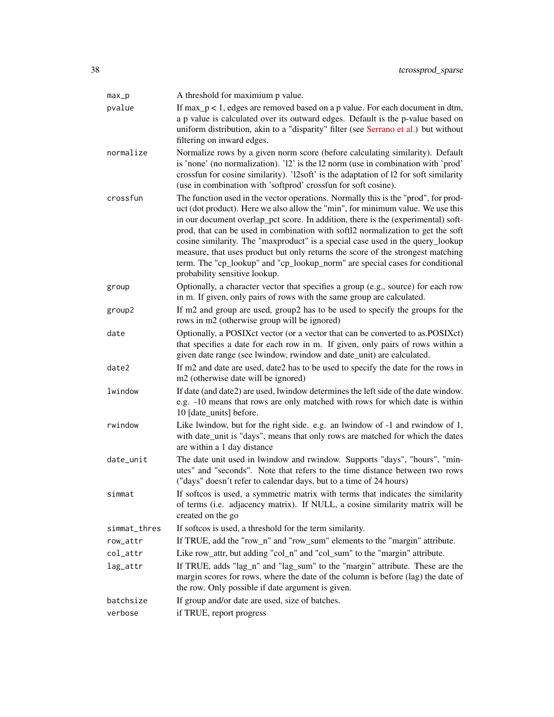| $max_p$      | A threshold for maximium p value.                                                                                                                                                                                                                                                                                                                                                                                                                                                                                                                                                                                                   |
|--------------|-------------------------------------------------------------------------------------------------------------------------------------------------------------------------------------------------------------------------------------------------------------------------------------------------------------------------------------------------------------------------------------------------------------------------------------------------------------------------------------------------------------------------------------------------------------------------------------------------------------------------------------|
| pvalue       | If $max_p < 1$ , edges are removed based on a p value. For each document in dtm,<br>a p value is calculated over its outward edges. Default is the p-value based on<br>uniform distribution, akin to a "disparity" filter (see Serrano et al.) but without<br>filtering on inward edges.                                                                                                                                                                                                                                                                                                                                            |
| normalize    | Normalize rows by a given norm score (before calculating similarity). Default<br>is 'none' (no normalization). '12' is the 12 norm (use in combination with 'prod'<br>crossfun for cosine similarity). 'l2soft' is the adaptation of 12 for soft similarity<br>(use in combination with 'softprod' crossfun for soft cosine).                                                                                                                                                                                                                                                                                                       |
| crossfun     | The function used in the vector operations. Normally this is the "prod", for prod-<br>uct (dot product). Here we also allow the "min", for minimum value. We use this<br>in our document overlap_pct score. In addition, there is the (experimental) soft-<br>prod, that can be used in combination with softl2 normalization to get the soft<br>cosine similarity. The "maxproduct" is a special case used in the query_lookup<br>measure, that uses product but only returns the score of the strongest matching<br>term. The "cp_lookup" and "cp_lookup_norm" are special cases for conditional<br>probability sensitive lookup. |
| group        | Optionally, a character vector that specifies a group (e.g., source) for each row<br>in m. If given, only pairs of rows with the same group are calculated.                                                                                                                                                                                                                                                                                                                                                                                                                                                                         |
| group2       | If m2 and group are used, group2 has to be used to specify the groups for the<br>rows in m2 (otherwise group will be ignored)                                                                                                                                                                                                                                                                                                                                                                                                                                                                                                       |
| date         | Optionally, a POSIXct vector (or a vector that can be converted to as.POSIXct)<br>that specifies a date for each row in m. If given, only pairs of rows within a<br>given date range (see lwindow, rwindow and date_unit) are calculated.                                                                                                                                                                                                                                                                                                                                                                                           |
| date2        | If m2 and date are used, date2 has to be used to specify the date for the rows in<br>m2 (otherwise date will be ignored)                                                                                                                                                                                                                                                                                                                                                                                                                                                                                                            |
| lwindow      | If date (and date2) are used, lwindow determines the left side of the date window.<br>e.g. -10 means that rows are only matched with rows for which date is within<br>10 [date_units] before.                                                                                                                                                                                                                                                                                                                                                                                                                                       |
| rwindow      | Like lwindow, but for the right side. e.g. an lwindow of -1 and rwindow of 1,<br>with date_unit is "days", means that only rows are matched for which the dates<br>are within a 1 day distance                                                                                                                                                                                                                                                                                                                                                                                                                                      |
| date_unit    | The date unit used in lwindow and rwindow. Supports "days", "hours", "min-<br>utes" and "seconds". Note that refers to the time distance between two rows<br>("days" doesn't refer to calendar days, but to a time of 24 hours)                                                                                                                                                                                                                                                                                                                                                                                                     |
| simmat       | If softcos is used, a symmetric matrix with terms that indicates the similarity<br>of terms (i.e. adjacency matrix). If NULL, a cosine similarity matrix will be<br>created on the go                                                                                                                                                                                                                                                                                                                                                                                                                                               |
| simmat_thres | If softcos is used, a threshold for the term similarity.                                                                                                                                                                                                                                                                                                                                                                                                                                                                                                                                                                            |
| row_attr     | If TRUE, add the "row_n" and "row_sum" elements to the "margin" attribute.                                                                                                                                                                                                                                                                                                                                                                                                                                                                                                                                                          |
| col_attr     | Like row_attr, but adding "col_n" and "col_sum" to the "margin" attribute.                                                                                                                                                                                                                                                                                                                                                                                                                                                                                                                                                          |
| lag_attr     | If TRUE, adds "lag_n" and "lag_sum" to the "margin" attribute. These are the<br>margin scores for rows, where the date of the column is before (lag) the date of<br>the row. Only possible if date argument is given.                                                                                                                                                                                                                                                                                                                                                                                                               |
| batchsize    | If group and/or date are used, size of batches.                                                                                                                                                                                                                                                                                                                                                                                                                                                                                                                                                                                     |
| verbose      | if TRUE, report progress                                                                                                                                                                                                                                                                                                                                                                                                                                                                                                                                                                                                            |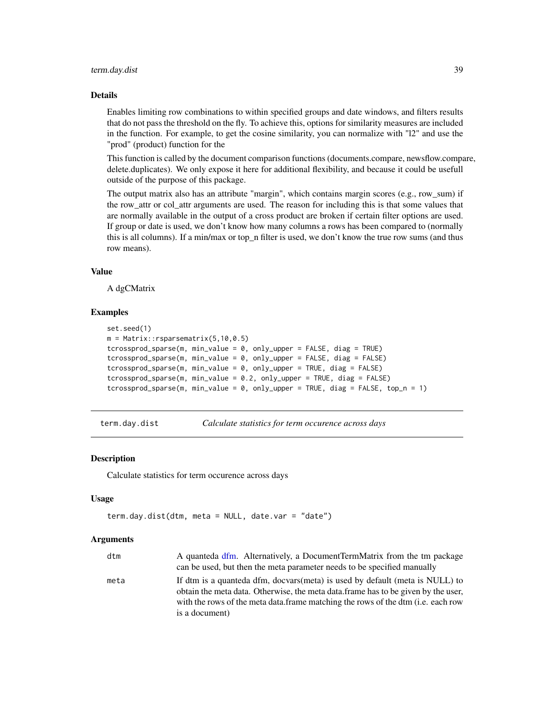#### <span id="page-38-0"></span>term.day.dist 39

#### Details

Enables limiting row combinations to within specified groups and date windows, and filters results that do not pass the threshold on the fly. To achieve this, options for similarity measures are included in the function. For example, to get the cosine similarity, you can normalize with "l2" and use the "prod" (product) function for the

This function is called by the document comparison functions (documents.compare, newsflow.compare, delete.duplicates). We only expose it here for additional flexibility, and because it could be usefull outside of the purpose of this package.

The output matrix also has an attribute "margin", which contains margin scores (e.g., row\_sum) if the row\_attr or col\_attr arguments are used. The reason for including this is that some values that are normally available in the output of a cross product are broken if certain filter options are used. If group or date is used, we don't know how many columns a rows has been compared to (normally this is all columns). If a min/max or top\_n filter is used, we don't know the true row sums (and thus row means).

#### Value

A dgCMatrix

#### Examples

```
set.seed(1)
m = Matrix::rsparsematrix(5,10,0.5)tcrossprod_sparse(m, min_value = 0, only_upper = FALSE, diag = TRUE)
tcrossprod_sparse(m, min_value = 0, only\_upper = FALSE, diag = FALSE)tcrossprod_sparse(m, min_value = 0, only_upper = TRUE, diag = FALSE)
tcrossprod_sparse(m, min_value = 0.2, only_upper = TRUE, diag = FALSE)
tcrossprod_sparse(m, min_value = 0, only_upper = TRUE, diag = FALSE, top_n = 1)
```
term.day.dist *Calculate statistics for term occurence across days*

### Description

Calculate statistics for term occurence across days

#### Usage

```
term.day.dist(dtm, meta = NULL, date.var = "date")
```

| dtm  | A quanteda dfm. Alternatively, a DocumentTermMatrix from the tm package                                                                                                                                                                                                         |
|------|---------------------------------------------------------------------------------------------------------------------------------------------------------------------------------------------------------------------------------------------------------------------------------|
|      | can be used, but then the meta parameter needs to be specified manually                                                                                                                                                                                                         |
| meta | If dtm is a quanteda dfm, docvars(meta) is used by default (meta is NULL) to<br>obtain the meta data. Otherwise, the meta data frame has to be given by the user,<br>with the rows of the meta data.frame matching the rows of the dtm ( <i>i.e.</i> each row<br>is a document) |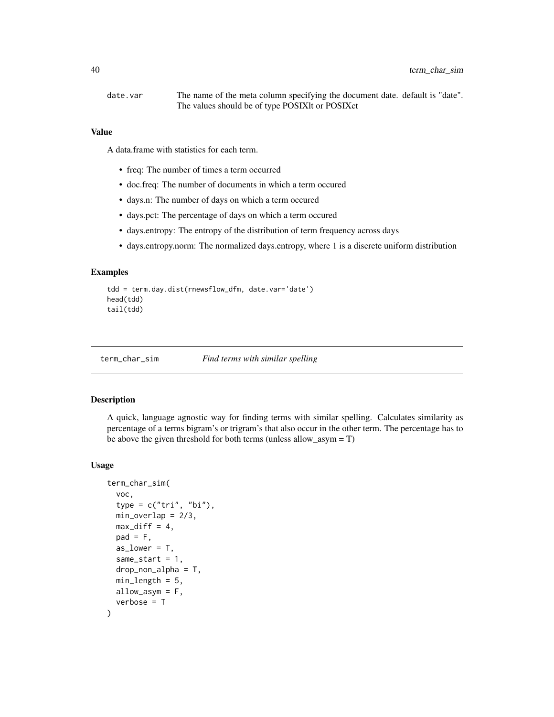<span id="page-39-0"></span>date.var The name of the meta column specifying the document date. default is "date". The values should be of type POSIXlt or POSIXct

#### Value

A data.frame with statistics for each term.

- freq: The number of times a term occurred
- doc.freq: The number of documents in which a term occured
- days.n: The number of days on which a term occured
- days.pct: The percentage of days on which a term occured
- days.entropy: The entropy of the distribution of term frequency across days
- days.entropy.norm: The normalized days.entropy, where 1 is a discrete uniform distribution

#### Examples

```
tdd = term.day.dist(rnewsflow_dfm, date.var='date')
head(tdd)
tail(tdd)
```
<span id="page-39-1"></span>term\_char\_sim *Find terms with similar spelling*

#### **Description**

A quick, language agnostic way for finding terms with similar spelling. Calculates similarity as percentage of a terms bigram's or trigram's that also occur in the other term. The percentage has to be above the given threshold for both terms (unless allow  $a<sub>sym</sub> = T$ )

```
term_char_sim(
  voc,
  type = c("tri", "bi"),min\_overlap = 2/3,
 max\_diff = 4,
 pad = F,
  as_lower = T,
  same_start = 1,
  drop_non_alpha = T,
 min\_length = 5,
 allow_asym = F,
  verbose = T
)
```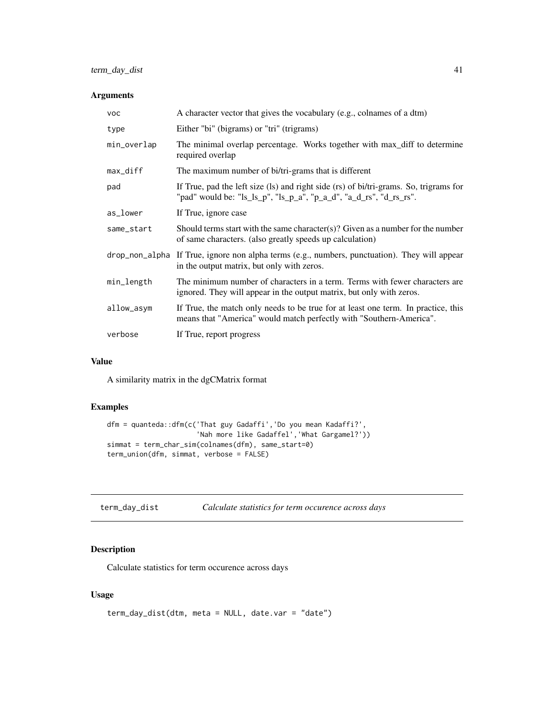<span id="page-40-0"></span>

| <b>VOC</b>  | A character vector that gives the vocabulary (e.g., colnames of a dtm)                                                                                      |
|-------------|-------------------------------------------------------------------------------------------------------------------------------------------------------------|
| type        | Either "bi" (bigrams) or "tri" (trigrams)                                                                                                                   |
| min_overlap | The minimal overlap percentage. Works together with max_diff to determine<br>required overlap                                                               |
| max_diff    | The maximum number of bi/tri-grams that is different                                                                                                        |
| pad         | If True, pad the left size (ls) and right side (rs) of bi/tri-grams. So, trigrams for<br>"pad" would be: "ls_ls_p", "ls_p_a", "p_a_d", "a_d_rs", "d_rs_rs". |
| as_lower    | If True, ignore case                                                                                                                                        |
| same_start  | Should terms start with the same character(s)? Given as a number for the number<br>of same characters. (also greatly speeds up calculation)                 |
|             | drop_non_a1pha If True, ignore non alpha terms (e.g., numbers, punctuation). They will appear<br>in the output matrix, but only with zeros.                 |
| min_length  | The minimum number of characters in a term. Terms with fewer characters are<br>ignored. They will appear in the output matrix, but only with zeros.         |
| allow_asym  | If True, the match only needs to be true for at least one term. In practice, this<br>means that "America" would match perfectly with "Southern-America".    |
| verbose     | If True, report progress                                                                                                                                    |

# Value

A similarity matrix in the dgCMatrix format

# Examples

```
dfm = quanteda::dfm(c('That guy Gadaffi','Do you mean Kadaffi?',
                      'Nah more like Gadaffel','What Gargamel?'))
simmat = term_char_sim(colnames(dfm), same_start=0)
term_union(dfm, simmat, verbose = FALSE)
```
term\_day\_dist *Calculate statistics for term occurence across days*

# Description

Calculate statistics for term occurence across days

```
term_day_dist(dtm, meta = NULL, date.var = "date")
```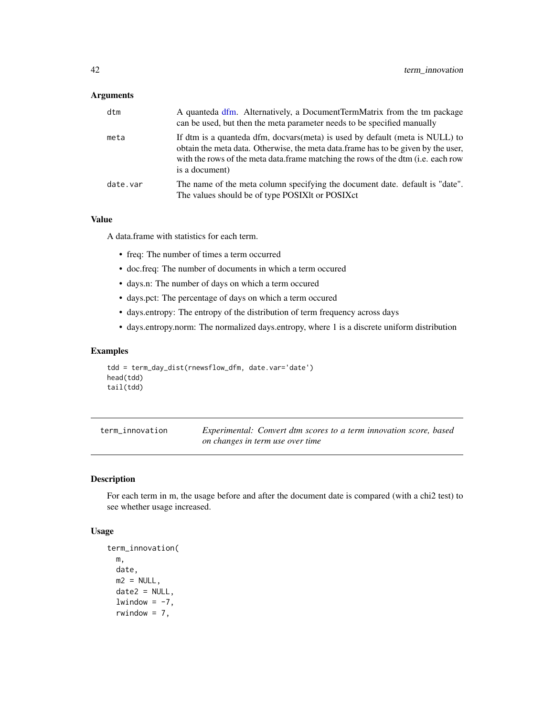<span id="page-41-0"></span>

| dtm      | A quanteda dfm. Alternatively, a DocumentTermMatrix from the tm package<br>can be used, but then the meta parameter needs to be specified manually                                                                                                                      |
|----------|-------------------------------------------------------------------------------------------------------------------------------------------------------------------------------------------------------------------------------------------------------------------------|
| meta     | If dtm is a quanteda dfm, docvars(meta) is used by default (meta is NULL) to<br>obtain the meta data. Otherwise, the meta data frame has to be given by the user,<br>with the rows of the meta data.frame matching the rows of the dtm (i.e. each row<br>is a document) |
| date.var | The name of the meta column specifying the document date. default is "date".<br>The values should be of type POSIXIt or POSIXct                                                                                                                                         |

# Value

A data.frame with statistics for each term.

- freq: The number of times a term occurred
- doc.freq: The number of documents in which a term occured
- days.n: The number of days on which a term occured
- days.pct: The percentage of days on which a term occured
- days.entropy: The entropy of the distribution of term frequency across days
- days.entropy.norm: The normalized days.entropy, where 1 is a discrete uniform distribution

# Examples

```
tdd = term_day_dist(rnewsflow_dfm, date.var='date')
head(tdd)
tail(tdd)
```

| term innovation | Experimental: Convert dtm scores to a term innovation score, based |
|-----------------|--------------------------------------------------------------------|
|                 | on changes in term use over time                                   |

# Description

For each term in m, the usage before and after the document date is compared (with a chi2 test) to see whether usage increased.

```
term_innovation(
 m,
 date,
 m2 = NULL,
 date2 = NULL,
  lwindow = -7,
  rwindow = 7,
```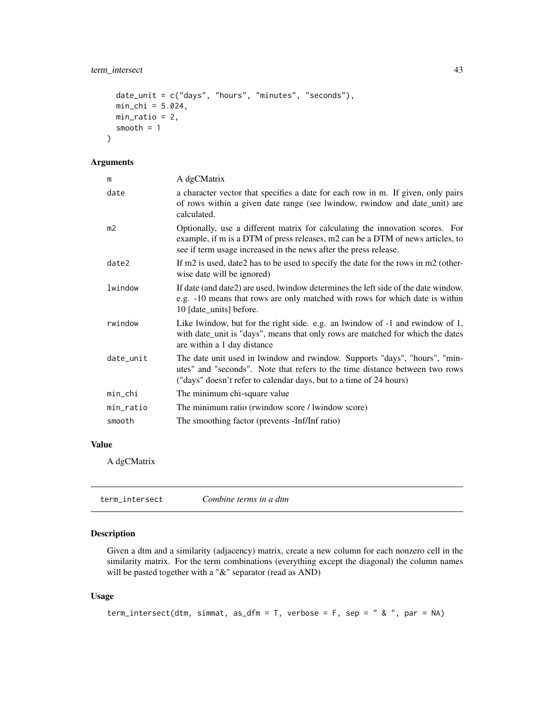```
date_unit = c("days", "hours", "minutes", "seconds"),
min_{chi} = 5.024,min\_ratio = 2,
smooth = 1
```
)

| m         | A dgCMatrix                                                                                                                                                                                                                         |
|-----------|-------------------------------------------------------------------------------------------------------------------------------------------------------------------------------------------------------------------------------------|
| date      | a character vector that specifies a date for each row in m. If given, only pairs<br>of rows within a given date range (see lwindow, rwindow and date_unit) are<br>calculated.                                                       |
| m2        | Optionally, use a different matrix for calculating the innovation scores. For<br>example, if m is a DTM of press releases, m2 can be a DTM of news articles, to<br>see if term usage increased in the news after the press release. |
| date2     | If m2 is used, date2 has to be used to specify the date for the rows in m2 (other-<br>wise date will be ignored)                                                                                                                    |
| lwindow   | If date (and date2) are used, lwindow determines the left side of the date window.<br>e.g. -10 means that rows are only matched with rows for which date is within<br>10 [date_units] before.                                       |
| rwindow   | Like lwindow, but for the right side. e.g. an lwindow of -1 and rwindow of 1,<br>with date_unit is "days", means that only rows are matched for which the dates<br>are within a 1 day distance                                      |
| date_unit | The date unit used in lwindow and rwindow. Supports "days", "hours", "min-<br>utes" and "seconds". Note that refers to the time distance between two rows<br>("days" doesn't refer to calendar days, but to a time of 24 hours)     |
| min_chi   | The minimum chi-square value                                                                                                                                                                                                        |
| min_ratio | The minimum ratio (rwindow score / lwindow score)                                                                                                                                                                                   |
| smooth    | The smoothing factor (prevents -Inf/Inf ratio)                                                                                                                                                                                      |
|           |                                                                                                                                                                                                                                     |

# Value

A dgCMatrix

| term intersect | Combine terms in a dtm |  |
|----------------|------------------------|--|
|                |                        |  |

# Description

Given a dtm and a similarity (adjacency) matrix, create a new column for each nonzero cell in the similarity matrix. For the term combinations (everything except the diagonal) the column names will be pasted together with a "&" separator (read as AND)

```
term_intersect(dtm, simmat, as_dfm = T, verbose = F, sep = " & ", par = NA)
```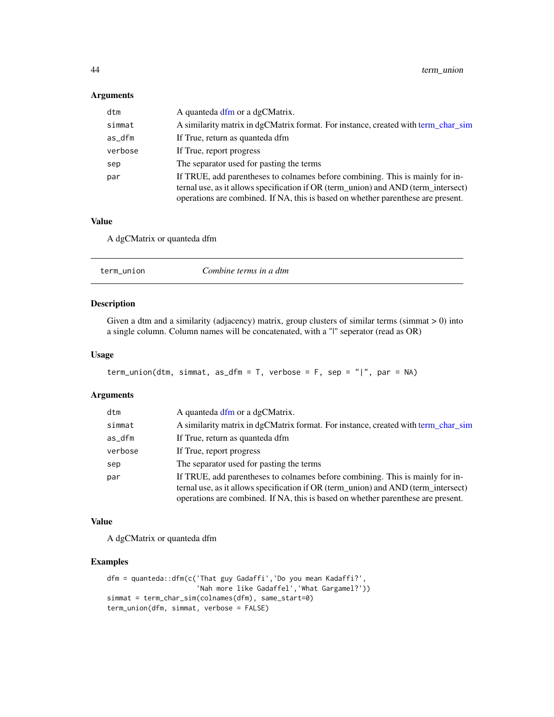<span id="page-43-0"></span>

| dtm     | A quanteda dfm or a dgCMatrix.                                                                                                                                                                                                                          |
|---------|---------------------------------------------------------------------------------------------------------------------------------------------------------------------------------------------------------------------------------------------------------|
| simmat  | A similarity matrix in dgCMatrix format. For instance, created with term_char_sim                                                                                                                                                                       |
| as_dfm  | If True, return as quanteda dfm                                                                                                                                                                                                                         |
| verbose | If True, report progress                                                                                                                                                                                                                                |
| sep     | The separator used for pasting the terms                                                                                                                                                                                                                |
| par     | If TRUE, add parentheses to colnames before combining. This is mainly for in-<br>ternal use, as it allows specification if OR (term_union) and AND (term_intersect)<br>operations are combined. If NA, this is based on whether parenthese are present. |

#### Value

A dgCMatrix or quanteda dfm

# Description

Given a dtm and a similarity (adjacency) matrix, group clusters of similar terms (simmat > 0) into a single column. Column names will be concatenated, with a "|" seperator (read as OR)

# Usage

```
term_union(dtm, simmat, as_dfm = T, verbose = F, sep = "|", par = NA)
```
# Arguments

| dtm     | A quanteda dfm or a dgCMatrix.                                                                                                                                                                                                                          |
|---------|---------------------------------------------------------------------------------------------------------------------------------------------------------------------------------------------------------------------------------------------------------|
| simmat  | A similarity matrix in dgCMatrix format. For instance, created with term char sim                                                                                                                                                                       |
| as_dfm  | If True, return as quanteda dfm                                                                                                                                                                                                                         |
| verbose | If True, report progress                                                                                                                                                                                                                                |
| sep     | The separator used for pasting the terms                                                                                                                                                                                                                |
| par     | If TRUE, add parentheses to colnames before combining. This is mainly for in-<br>ternal use, as it allows specification if OR (term_union) and AND (term_intersect)<br>operations are combined. If NA, this is based on whether parenthese are present. |

# Value

A dgCMatrix or quanteda dfm

# Examples

```
dfm = quanteda::dfm(c('That guy Gadaffi','Do you mean Kadaffi?',
                      'Nah more like Gadaffel','What Gargamel?'))
simmat = term_char_sim(colnames(dfm), same_start=0)
term_union(dfm, simmat, verbose = FALSE)
```